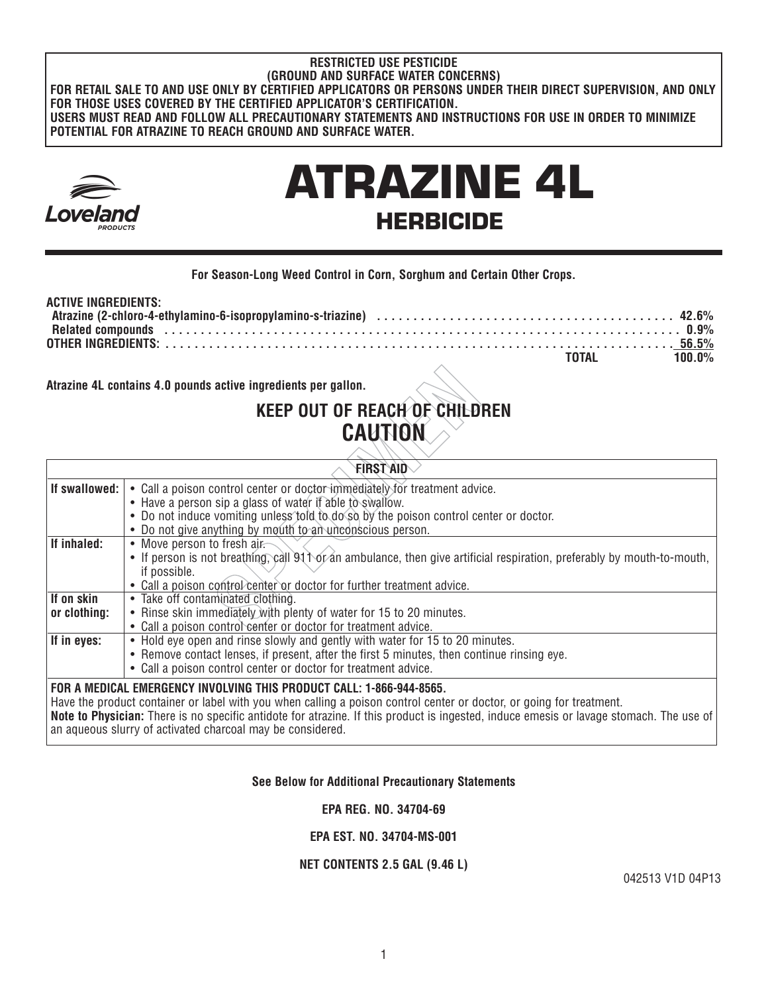#### **RESTRICTED USE PESTICIDE (GROUND AND SURFACE WATER CONCERNS) FOR RETAIL SALE TO AND USE ONLY BY CERTIFIED APPLICATORS OR PERSONS UNDER THEIR DIRECT SUPERVISION, AND ONLY FOR THOSE USES COVERED BY THE CERTIFIED APPLICATOR'S CERTIFICATION. USERS MUST READ AND FOLLOW ALL PRECAUTIONARY STATEMENTS AND INSTRUCTIONS FOR USE IN ORDER TO MINIMIZE POTENTIAL FOR ATRAZINE TO REACH GROUND AND SURFACE WATER.**



# ATRAZINE 4L HERBICIDE

## **For Season-Long Weed Control in Corn, Sorghum and Certain Other Crops.**

#### **ACTIVE INGREDIENTS: Atrazine (2-chloro-4-ethylamino-6-isopropylamino-s-triazine) . . . . . . . . . . . . . . . . . . . . . . . . . . . . . . . . . . . . . . . . . 42.6% Related compounds . . . . . . . . . . . . . . . . . . . . . . . . . . . . . . . . . . . . . . . . . . . . . . . . . . . . . . . . . . . . . . . . . . . . . . . 0.9% OTHER INGREDIENTS: . . . . . . . . . . . . . . . . . . . . . . . . . . . . . . . . . . . . . . . . . . . . . . . . . . . . . . . . . . . . . . . . . . . . . . 56.5% TOTAL 100.0%**

# **KEEP OUT OF REACH OF CHILDREN CAUTION**

| Atrazine 4L contains 4.0 pounds active ingredients per gallon.                                                                                                                                                                                                                                                                                                                                        |                                                                                                                                                                                                                                              |  |  |
|-------------------------------------------------------------------------------------------------------------------------------------------------------------------------------------------------------------------------------------------------------------------------------------------------------------------------------------------------------------------------------------------------------|----------------------------------------------------------------------------------------------------------------------------------------------------------------------------------------------------------------------------------------------|--|--|
|                                                                                                                                                                                                                                                                                                                                                                                                       | KEEP OUT OF REACH OF CHILDREN                                                                                                                                                                                                                |  |  |
|                                                                                                                                                                                                                                                                                                                                                                                                       | <b>CAUTION</b>                                                                                                                                                                                                                               |  |  |
|                                                                                                                                                                                                                                                                                                                                                                                                       | <b>FIRST AID</b>                                                                                                                                                                                                                             |  |  |
| If swallowed:                                                                                                                                                                                                                                                                                                                                                                                         | • Call a poison control center or doctor immediately for treatment advice.<br>• Have a person sip a glass of water if able to swallow.                                                                                                       |  |  |
|                                                                                                                                                                                                                                                                                                                                                                                                       | • Do not induce vomiting unless told to do so by the poison control center or doctor.<br>• Do not give anything by mouth to an unconscious person.                                                                                           |  |  |
| If inhaled:                                                                                                                                                                                                                                                                                                                                                                                           | • Move person to fresh air.<br>• If person is not breathing, call 91 to f an ambulance, then give artificial respiration, preferably by mouth-to-mouth,<br>if possible.                                                                      |  |  |
| If on skin                                                                                                                                                                                                                                                                                                                                                                                            | • Call a poison control center or doctor for further treatment advice.<br>• Take off contaminated clothing.                                                                                                                                  |  |  |
| or clothing:                                                                                                                                                                                                                                                                                                                                                                                          | • Rinse skin immediately with plenty of water for 15 to 20 minutes.<br>• Call a poison control center or doctor for treatment advice.                                                                                                        |  |  |
| If in eyes:                                                                                                                                                                                                                                                                                                                                                                                           | • Hold eye open and rinse slowly and gently with water for 15 to 20 minutes.<br>• Remove contact lenses, if present, after the first 5 minutes, then continue rinsing eye.<br>• Call a poison control center or doctor for treatment advice. |  |  |
| FOR A MEDICAL EMERGENCY INVOLVING THIS PRODUCT CALL: 1-866-944-8565.<br>Have the product container or label with you when calling a poison control center or doctor, or going for treatment.<br>Note to Physician: There is no specific antidote for atrazine. If this product is ingested, induce emesis or lavage stomach. The use of<br>an aqueous slurry of activated charcoal may be considered. |                                                                                                                                                                                                                                              |  |  |

# **See Below for Additional Precautionary Statements**

**EPA REG. NO. 34704-69** 

**EPA EST. NO. 34704-MS-001**

#### **NET CONTENTS 2.5 GAL (9.46 L)**

042513 V1D 04P13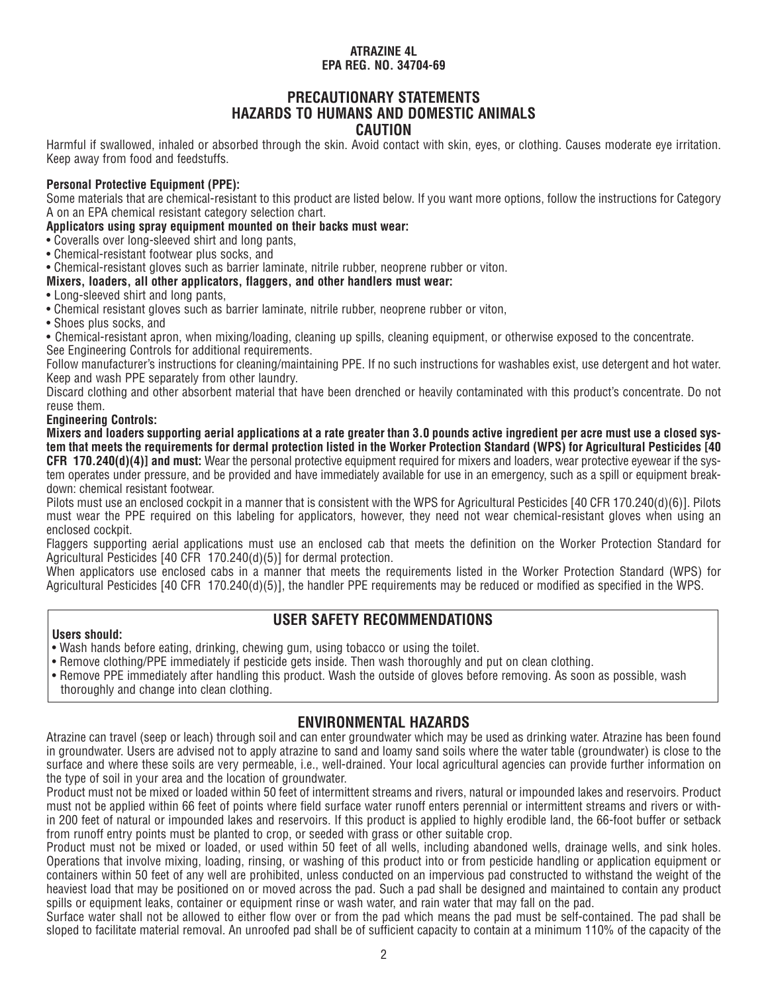# **PRECAUTIONARY STATEMENTS HAZARDS TO HUMANS AND DOMESTIC ANIMALS CAUTION**

Harmful if swallowed, inhaled or absorbed through the skin. Avoid contact with skin, eyes, or clothing. Causes moderate eye irritation. Keep away from food and feedstuffs.

## **Personal Protective Equipment (PPE):**

Some materials that are chemical-resistant to this product are listed below. If you want more options, follow the instructions for Category A on an EPA chemical resistant category selection chart.

**Applicators using spray equipment mounted on their backs must wear:**

- Coveralls over long-sleeved shirt and long pants,
- Chemical-resistant footwear plus socks, and
- Chemical-resistant gloves such as barrier laminate, nitrile rubber, neoprene rubber or viton.

#### **Mixers, loaders, all other applicators, flaggers, and other handlers must wear:**

- Long-sleeved shirt and long pants,
- Chemical resistant gloves such as barrier laminate, nitrile rubber, neoprene rubber or viton,
- Shoes plus socks, and

• Chemical-resistant apron, when mixing/loading, cleaning up spills, cleaning equipment, or otherwise exposed to the concentrate. See Engineering Controls for additional requirements.

Follow manufacturer's instructions for cleaning/maintaining PPE. If no such instructions for washables exist, use detergent and hot water. Keep and wash PPE separately from other laundry.

Discard clothing and other absorbent material that have been drenched or heavily contaminated with this product's concentrate. Do not reuse them.

#### **Engineering Controls:**

**Mixers and loaders supporting aerial applications at a rate greater than 3.0 pounds active ingredient per acre must use a closed system that meets the requirements for dermal protection listed in the Worker Protection Standard (WPS) for Agricultural Pesticides [40 CFR 170.240(d)(4)] and must:** Wear the personal protective equipment required for mixers and loaders, wear protective eyewear if the system operates under pressure, and be provided and have immediately available for use in an emergency, such as a spill or equipment breakdown: chemical resistant footwear.

Pilots must use an enclosed cockpit in a manner that is consistent with the WPS for Agricultural Pesticides [40 CFR 170.240(d)(6)]. Pilots must wear the PPE required on this labeling for applicators, however, they need not wear chemical-resistant gloves when using an enclosed cockpit.

Flaggers supporting aerial applications must use an enclosed cab that meets the definition on the Worker Protection Standard for Agricultural Pesticides [40 CFR 170.240(d)(5)] for dermal protection.

When applicators use enclosed cabs in a manner that meets the requirements listed in the Worker Protection Standard (WPS) for Agricultural Pesticides [40 CFR 170.240(d)(5)], the handler PPE requirements may be reduced or modified as specified in the WPS.

#### **Users should:**

- **USER SAFETY RECOMMENDATIONS**
- Wash hands before eating, drinking, chewing gum, using tobacco or using the toilet.
- Remove clothing/PPE immediately if pesticide gets inside. Then wash thoroughly and put on clean clothing.
- Remove PPE immediately after handling this product. Wash the outside of gloves before removing. As soon as possible, wash thoroughly and change into clean clothing.

# **ENVIRONMENTAL HAZARDS**

Atrazine can travel (seep or leach) through soil and can enter groundwater which may be used as drinking water. Atrazine has been found in groundwater. Users are advised not to apply atrazine to sand and loamy sand soils where the water table (groundwater) is close to the surface and where these soils are very permeable, i.e., well-drained. Your local agricultural agencies can provide further information on the type of soil in your area and the location of groundwater.

Product must not be mixed or loaded within 50 feet of intermittent streams and rivers, natural or impounded lakes and reservoirs. Product must not be applied within 66 feet of points where field surface water runoff enters perennial or intermittent streams and rivers or within 200 feet of natural or impounded lakes and reservoirs. If this product is applied to highly erodible land, the 66-foot buffer or setback from runoff entry points must be planted to crop, or seeded with grass or other suitable crop.

Product must not be mixed or loaded, or used within 50 feet of all wells, including abandoned wells, drainage wells, and sink holes. Operations that involve mixing, loading, rinsing, or washing of this product into or from pesticide handling or application equipment or containers within 50 feet of any well are prohibited, unless conducted on an impervious pad constructed to withstand the weight of the heaviest load that may be positioned on or moved across the pad. Such a pad shall be designed and maintained to contain any product spills or equipment leaks, container or equipment rinse or wash water, and rain water that may fall on the pad.

Surface water shall not be allowed to either flow over or from the pad which means the pad must be self-contained. The pad shall be sloped to facilitate material removal. An unroofed pad shall be of sufficient capacity to contain at a minimum 110% of the capacity of the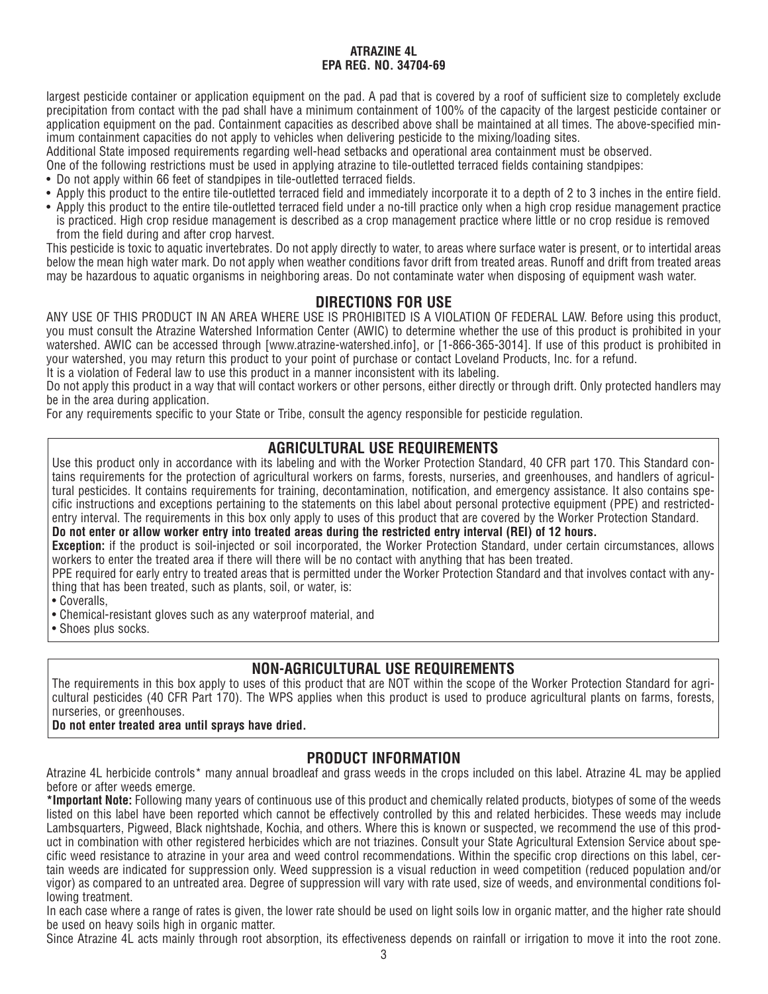largest pesticide container or application equipment on the pad. A pad that is covered by a roof of sufficient size to completely exclude precipitation from contact with the pad shall have a minimum containment of 100% of the capacity of the largest pesticide container or application equipment on the pad. Containment capacities as described above shall be maintained at all times. The above-specified minimum containment capacities do not apply to vehicles when delivering pesticide to the mixing/loading sites.

Additional State imposed requirements regarding well-head setbacks and operational area containment must be observed.

One of the following restrictions must be used in applying atrazine to tile-outletted terraced fields containing standpipes:

- Do not apply within 66 feet of standpipes in tile-outletted terraced fields.
- Apply this product to the entire tile-outletted terraced field and immediately incorporate it to a depth of 2 to 3 inches in the entire field.
- Apply this product to the entire tile-outletted terraced field under a no-till practice only when a high crop residue management practice is practiced. High crop residue management is described as a crop management practice where little or no crop residue is removed from the field during and after crop harvest.

This pesticide is toxic to aquatic invertebrates. Do not apply directly to water, to areas where surface water is present, or to intertidal areas below the mean high water mark. Do not apply when weather conditions favor drift from treated areas. Runoff and drift from treated areas may be hazardous to aquatic organisms in neighboring areas. Do not contaminate water when disposing of equipment wash water.

# **DIRECTIONS FOR USE**

ANY USE OF THIS PRODUCT IN AN AREA WHERE USE IS PROHIBITED IS A VIOLATION OF FEDERAL LAW. Before using this product, you must consult the Atrazine Watershed Information Center (AWIC) to determine whether the use of this product is prohibited in your watershed. AWIC can be accessed through [www.atrazine-watershed.info], or [1-866-365-3014]. If use of this product is prohibited in your watershed, you may return this product to your point of purchase or contact Loveland Products, Inc. for a refund.

It is a violation of Federal law to use this product in a manner inconsistent with its labeling.

Do not apply this product in a way that will contact workers or other persons, either directly or through drift. Only protected handlers may be in the area during application.

For any requirements specific to your State or Tribe, consult the agency responsible for pesticide regulation.

# **AGRICULTURAL USE REQUIREMENTS**

Use this product only in accordance with its labeling and with the Worker Protection Standard, 40 CFR part 170. This Standard contains requirements for the protection of agricultural workers on farms, forests, nurseries, and greenhouses, and handlers of agricultural pesticides. It contains requirements for training, decontamination, notification, and emergency assistance. It also contains specific instructions and exceptions pertaining to the statements on this label about personal protective equipment (PPE) and restrictedentry interval. The requirements in this box only apply to uses of this product that are covered by the Worker Protection Standard.

**Do not enter or allow worker entry into treated areas during the restricted entry interval (REI) of 12 hours.**

**Exception:** if the product is soil-injected or soil incorporated, the Worker Protection Standard, under certain circumstances, allows workers to enter the treated area if there will there will be no contact with anything that has been treated.

PPE required for early entry to treated areas that is permitted under the Worker Protection Standard and that involves contact with anything that has been treated, such as plants, soil, or water, is:

• Coveralls,

• Chemical-resistant gloves such as any waterproof material, and

• Shoes plus socks.

# **NON-AGRICULTURAL USE REQUIREMENTS**

The requirements in this box apply to uses of this product that are NOT within the scope of the Worker Protection Standard for agricultural pesticides (40 CFR Part 170). The WPS applies when this product is used to produce agricultural plants on farms, forests, nurseries, or greenhouses.

# **Do not enter treated area until sprays have dried.**

# **PRODUCT INFORMATION**

Atrazine 4L herbicide controls\* many annual broadleaf and grass weeds in the crops included on this label. Atrazine 4L may be applied before or after weeds emerge.

**\*Important Note:** Following many years of continuous use of this product and chemically related products, biotypes of some of the weeds listed on this label have been reported which cannot be effectively controlled by this and related herbicides. These weeds may include Lambsquarters, Pigweed, Black nightshade, Kochia, and others. Where this is known or suspected, we recommend the use of this product in combination with other registered herbicides which are not triazines. Consult your State Agricultural Extension Service about specific weed resistance to atrazine in your area and weed control recommendations. Within the specific crop directions on this label, certain weeds are indicated for suppression only. Weed suppression is a visual reduction in weed competition (reduced population and/or vigor) as compared to an untreated area. Degree of suppression will vary with rate used, size of weeds, and environmental conditions following treatment.

In each case where a range of rates is given, the lower rate should be used on light soils low in organic matter, and the higher rate should be used on heavy soils high in organic matter.

Since Atrazine 4L acts mainly through root absorption, its effectiveness depends on rainfall or irrigation to move it into the root zone.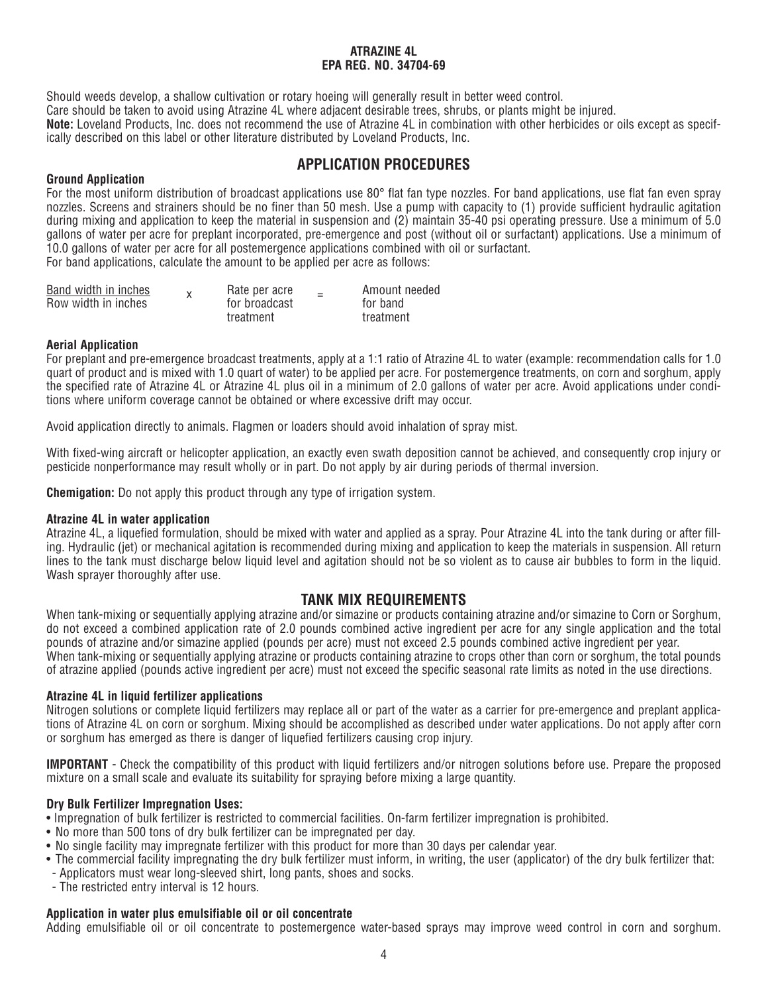Should weeds develop, a shallow cultivation or rotary hoeing will generally result in better weed control.

Care should be taken to avoid using Atrazine 4L where adjacent desirable trees, shrubs, or plants might be injured.

**Note:** Loveland Products, Inc. does not recommend the use of Atrazine 4L in combination with other herbicides or oils except as specifically described on this label or other literature distributed by Loveland Products, Inc.

# **APPLICATION PROCEDURES**

# **Ground Application**

For the most uniform distribution of broadcast applications use 80° flat fan type nozzles. For band applications, use flat fan even spray nozzles. Screens and strainers should be no finer than 50 mesh. Use a pump with capacity to (1) provide sufficient hydraulic agitation during mixing and application to keep the material in suspension and (2) maintain 35-40 psi operating pressure. Use a minimum of 5.0 gallons of water per acre for preplant incorporated, pre-emergence and post (without oil or surfactant) applications. Use a minimum of 10.0 gallons of water per acre for all postemergence applications combined with oil or surfactant.

For band applications, calculate the amount to be applied per acre as follows:

| Band width in inches | Rate per acre | $\overline{\phantom{0}}$ | Amount needed |
|----------------------|---------------|--------------------------|---------------|
| Row width in inches  | for broadcast |                          | for band      |
|                      | treatment     |                          | treatment     |

# **Aerial Application**

For preplant and pre-emergence broadcast treatments, apply at a 1:1 ratio of Atrazine 4L to water (example: recommendation calls for 1.0 quart of product and is mixed with 1.0 quart of water) to be applied per acre. For postemergence treatments, on corn and sorghum, apply the specified rate of Atrazine 4L or Atrazine 4L plus oil in a minimum of 2.0 gallons of water per acre. Avoid applications under conditions where uniform coverage cannot be obtained or where excessive drift may occur.

Avoid application directly to animals. Flagmen or loaders should avoid inhalation of spray mist.

With fixed-wing aircraft or helicopter application, an exactly even swath deposition cannot be achieved, and consequently crop injury or pesticide nonperformance may result wholly or in part. Do not apply by air during periods of thermal inversion.

**Chemigation:** Do not apply this product through any type of irrigation system.

# **Atrazine 4L in water application**

Atrazine 4L, a liquefied formulation, should be mixed with water and applied as a spray. Pour Atrazine 4L into the tank during or after filling. Hydraulic (jet) or mechanical agitation is recommended during mixing and application to keep the materials in suspension. All return lines to the tank must discharge below liquid level and agitation should not be so violent as to cause air bubbles to form in the liquid. Wash sprayer thoroughly after use.

# **TANK MIX REQUIREMENTS**

When tank-mixing or sequentially applying atrazine and/or simazine or products containing atrazine and/or simazine to Corn or Sorghum, do not exceed a combined application rate of 2.0 pounds combined active ingredient per acre for any single application and the total pounds of atrazine and/or simazine applied (pounds per acre) must not exceed 2.5 pounds combined active ingredient per year. When tank-mixing or sequentially applying atrazine or products containing atrazine to crops other than corn or sorghum, the total pounds of atrazine applied (pounds active ingredient per acre) must not exceed the specific seasonal rate limits as noted in the use directions.

# **Atrazine 4L in liquid fertilizer applications**

Nitrogen solutions or complete liquid fertilizers may replace all or part of the water as a carrier for pre-emergence and preplant applications of Atrazine 4L on corn or sorghum. Mixing should be accomplished as described under water applications. Do not apply after corn or sorghum has emerged as there is danger of liquefied fertilizers causing crop injury.

**IMPORTANT** - Check the compatibility of this product with liquid fertilizers and/or nitrogen solutions before use. Prepare the proposed mixture on a small scale and evaluate its suitability for spraying before mixing a large quantity.

# **Dry Bulk Fertilizer Impregnation Uses:**

• Impregnation of bulk fertilizer is restricted to commercial facilities. On-farm fertilizer impregnation is prohibited.

- No more than 500 tons of dry bulk fertilizer can be impregnated per day.
- No single facility may impregnate fertilizer with this product for more than 30 days per calendar year.
- The commercial facility impregnating the dry bulk fertilizer must inform, in writing, the user (applicator) of the dry bulk fertilizer that:
- Applicators must wear long-sleeved shirt, long pants, shoes and socks.
- The restricted entry interval is 12 hours.

# **Application in water plus emulsifiable oil or oil concentrate**

Adding emulsifiable oil or oil concentrate to postemergence water-based sprays may improve weed control in corn and sorghum.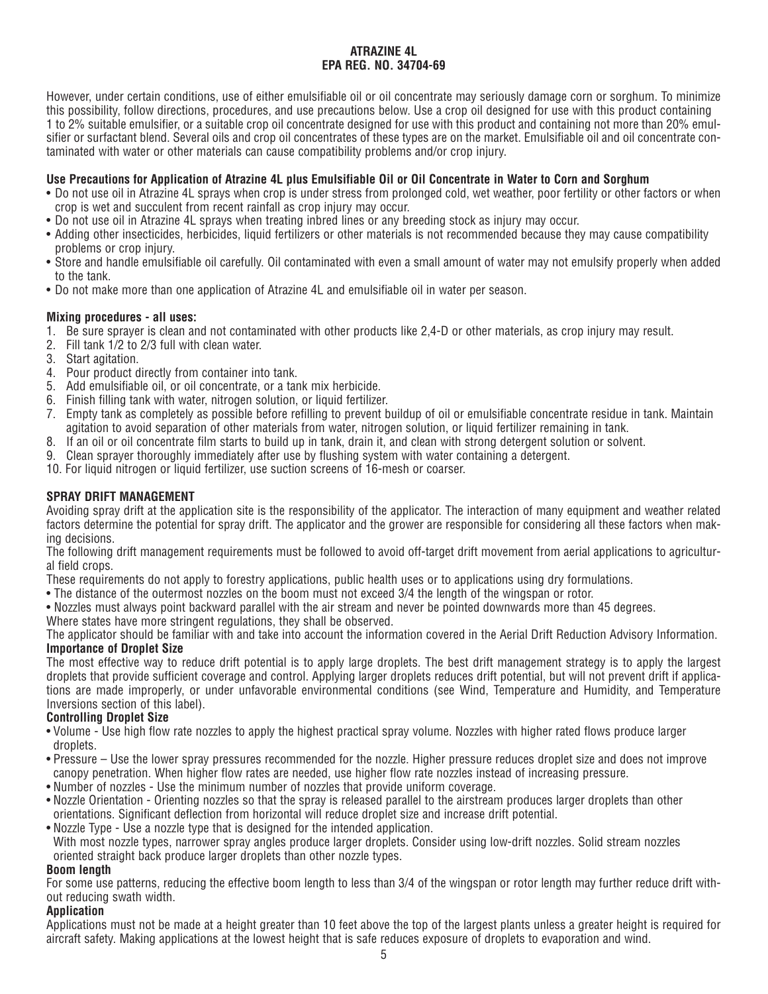However, under certain conditions, use of either emulsifiable oil or oil concentrate may seriously damage corn or sorghum. To minimize this possibility, follow directions, procedures, and use precautions below. Use a crop oil designed for use with this product containing 1 to 2% suitable emulsifier, or a suitable crop oil concentrate designed for use with this product and containing not more than 20% emulsifier or surfactant blend. Several oils and crop oil concentrates of these types are on the market. Emulsifiable oil and oil concentrate contaminated with water or other materials can cause compatibility problems and/or crop injury.

# **Use Precautions for Application of Atrazine 4L plus Emulsifiable Oil or Oil Concentrate in Water to Corn and Sorghum**

- Do not use oil in Atrazine 4L sprays when crop is under stress from prolonged cold, wet weather, poor fertility or other factors or when crop is wet and succulent from recent rainfall as crop injury may occur.
- Do not use oil in Atrazine 4L sprays when treating inbred lines or any breeding stock as injury may occur.
- Adding other insecticides, herbicides, liquid fertilizers or other materials is not recommended because they may cause compatibility problems or crop injury.
- Store and handle emulsifiable oil carefully. Oil contaminated with even a small amount of water may not emulsify properly when added to the tank.
- Do not make more than one application of Atrazine 4L and emulsifiable oil in water per season.

## **Mixing procedures - all uses:**

- 1. Be sure sprayer is clean and not contaminated with other products like 2,4-D or other materials, as crop injury may result.
- 2. Fill tank 1/2 to 2/3 full with clean water.
- 3. Start agitation.
- 4. Pour product directly from container into tank.
- 5. Add emulsifiable oil, or oil concentrate, or a tank mix herbicide.
- 6. Finish filling tank with water, nitrogen solution, or liquid fertilizer.
- 7. Empty tank as completely as possible before refilling to prevent buildup of oil or emulsifiable concentrate residue in tank. Maintain agitation to avoid separation of other materials from water, nitrogen solution, or liquid fertilizer remaining in tank.
- 8. If an oil or oil concentrate film starts to build up in tank, drain it, and clean with strong detergent solution or solvent.
- 9. Clean sprayer thoroughly immediately after use by flushing system with water containing a detergent.
- 10. For liquid nitrogen or liquid fertilizer, use suction screens of 16-mesh or coarser.

## **SPRAY DRIFT MANAGEMENT**

Avoiding spray drift at the application site is the responsibility of the applicator. The interaction of many equipment and weather related factors determine the potential for spray drift. The applicator and the grower are responsible for considering all these factors when making decisions.

The following drift management requirements must be followed to avoid off-target drift movement from aerial applications to agricultural field crops.

These requirements do not apply to forestry applications, public health uses or to applications using dry formulations.

• The distance of the outermost nozzles on the boom must not exceed 3/4 the length of the wingspan or rotor.

• Nozzles must always point backward parallel with the air stream and never be pointed downwards more than 45 degrees.

Where states have more stringent regulations, they shall be observed.

The applicator should be familiar with and take into account the information covered in the Aerial Drift Reduction Advisory Information. **Importance of Droplet Size**

The most effective way to reduce drift potential is to apply large droplets. The best drift management strategy is to apply the largest droplets that provide sufficient coverage and control. Applying larger droplets reduces drift potential, but will not prevent drift if applications are made improperly, or under unfavorable environmental conditions (see Wind, Temperature and Humidity, and Temperature Inversions section of this label).

# **Controlling Droplet Size**

- Volume Use high flow rate nozzles to apply the highest practical spray volume. Nozzles with higher rated flows produce larger droplets.
- Pressure Use the lower spray pressures recommended for the nozzle. Higher pressure reduces droplet size and does not improve canopy penetration. When higher flow rates are needed, use higher flow rate nozzles instead of increasing pressure.
- Number of nozzles Use the minimum number of nozzles that provide uniform coverage.
- Nozzle Orientation Orienting nozzles so that the spray is released parallel to the airstream produces larger droplets than other orientations. Significant deflection from horizontal will reduce droplet size and increase drift potential.
- Nozzle Type Use a nozzle type that is designed for the intended application.

With most nozzle types, narrower spray angles produce larger droplets. Consider using low-drift nozzles. Solid stream nozzles oriented straight back produce larger droplets than other nozzle types.

#### **Boom length**

For some use patterns, reducing the effective boom length to less than 3/4 of the wingspan or rotor length may further reduce drift without reducing swath width.

#### **Application**

Applications must not be made at a height greater than 10 feet above the top of the largest plants unless a greater height is required for aircraft safety. Making applications at the lowest height that is safe reduces exposure of droplets to evaporation and wind.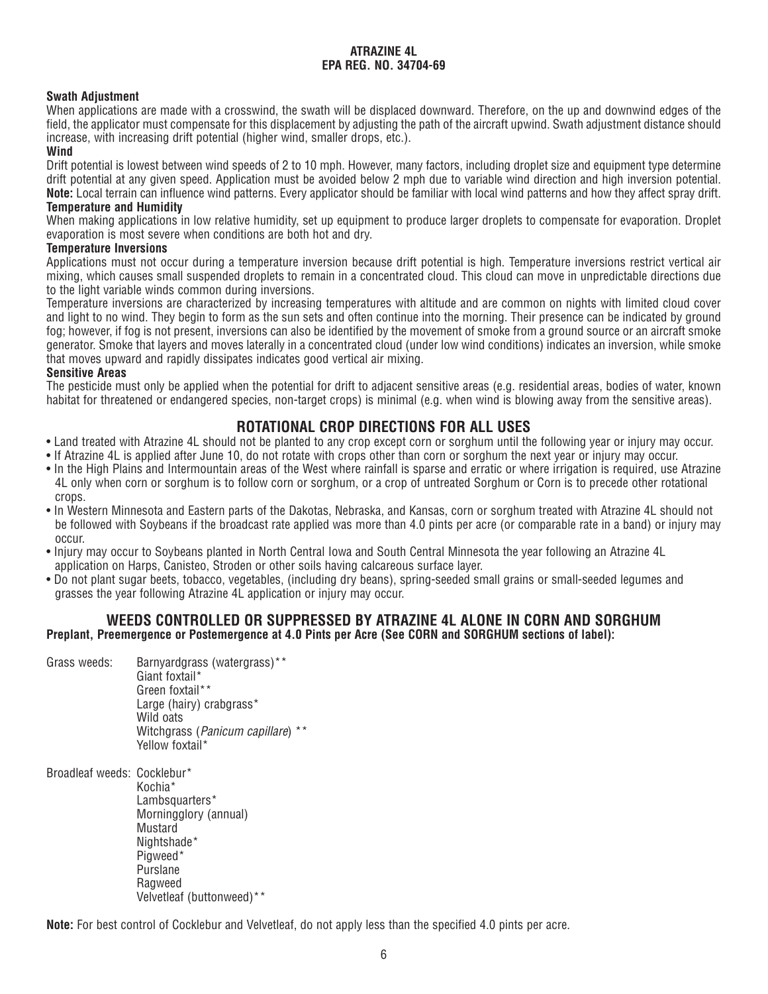# **Swath Adjustment**

When applications are made with a crosswind, the swath will be displaced downward. Therefore, on the up and downwind edges of the field, the applicator must compensate for this displacement by adjusting the path of the aircraft upwind. Swath adjustment distance should increase, with increasing drift potential (higher wind, smaller drops, etc.).

# **Wind**

Drift potential is lowest between wind speeds of 2 to 10 mph. However, many factors, including droplet size and equipment type determine drift potential at any given speed. Application must be avoided below 2 mph due to variable wind direction and high inversion potential. **Note:** Local terrain can influence wind patterns. Every applicator should be familiar with local wind patterns and how they affect spray drift. **Temperature and Humidity**

When making applications in low relative humidity, set up equipment to produce larger droplets to compensate for evaporation. Droplet evaporation is most severe when conditions are both hot and dry.

## **Temperature Inversions**

Applications must not occur during a temperature inversion because drift potential is high. Temperature inversions restrict vertical air mixing, which causes small suspended droplets to remain in a concentrated cloud. This cloud can move in unpredictable directions due to the light variable winds common during inversions.

Temperature inversions are characterized by increasing temperatures with altitude and are common on nights with limited cloud cover and light to no wind. They begin to form as the sun sets and often continue into the morning. Their presence can be indicated by ground fog; however, if fog is not present, inversions can also be identified by the movement of smoke from a ground source or an aircraft smoke generator. Smoke that layers and moves laterally in a concentrated cloud (under low wind conditions) indicates an inversion, while smoke that moves upward and rapidly dissipates indicates good vertical air mixing.

#### **Sensitive Areas**

The pesticide must only be applied when the potential for drift to adjacent sensitive areas (e.g. residential areas, bodies of water, known habitat for threatened or endangered species, non-target crops) is minimal (e.g. when wind is blowing away from the sensitive areas).

# **ROTATIONAL CROP DIRECTIONS FOR ALL USES**

- Land treated with Atrazine 4L should not be planted to any crop except corn or sorghum until the following year or injury may occur.
- If Atrazine 4L is applied after June 10, do not rotate with crops other than corn or sorghum the next year or injury may occur.
- In the High Plains and Intermountain areas of the West where rainfall is sparse and erratic or where irrigation is required, use Atrazine 4L only when corn or sorghum is to follow corn or sorghum, or a crop of untreated Sorghum or Corn is to precede other rotational crops.
- In Western Minnesota and Eastern parts of the Dakotas, Nebraska, and Kansas, corn or sorghum treated with Atrazine 4L should not be followed with Soybeans if the broadcast rate applied was more than 4.0 pints per acre (or comparable rate in a band) or injury may occur.
- Injury may occur to Soybeans planted in North Central Iowa and South Central Minnesota the year following an Atrazine 4L application on Harps, Canisteo, Stroden or other soils having calcareous surface layer.
- Do not plant sugar beets, tobacco, vegetables, (including dry beans), spring-seeded small grains or small-seeded legumes and grasses the year following Atrazine 4L application or injury may occur.

# **WEEDS CONTROLLED OR SUPPRESSED BY ATRAZINE 4L ALONE IN CORN AND SORGHUM Preplant, Preemergence or Postemergence at 4.0 Pints per Acre (See CORN and SORGHUM sections of label):**

- Grass weeds: Barnyardgrass (watergrass)\*\* Giant foxtail\* Green foxtail\*\* Large (hairy) crabgrass\* Wild oats Witchgrass (Panicum capillare) \*\* Yellow foxtail\*
- Broadleaf weeds: Cocklebur\*

Kochia\* Lambsquarters\* Morningglory (annual) **Mustard** Nightshade\* Pigweed\* Purslane Ragweed Velvetleaf (buttonweed)\*\*

**Note:** For best control of Cocklebur and Velvetleaf, do not apply less than the specified 4.0 pints per acre.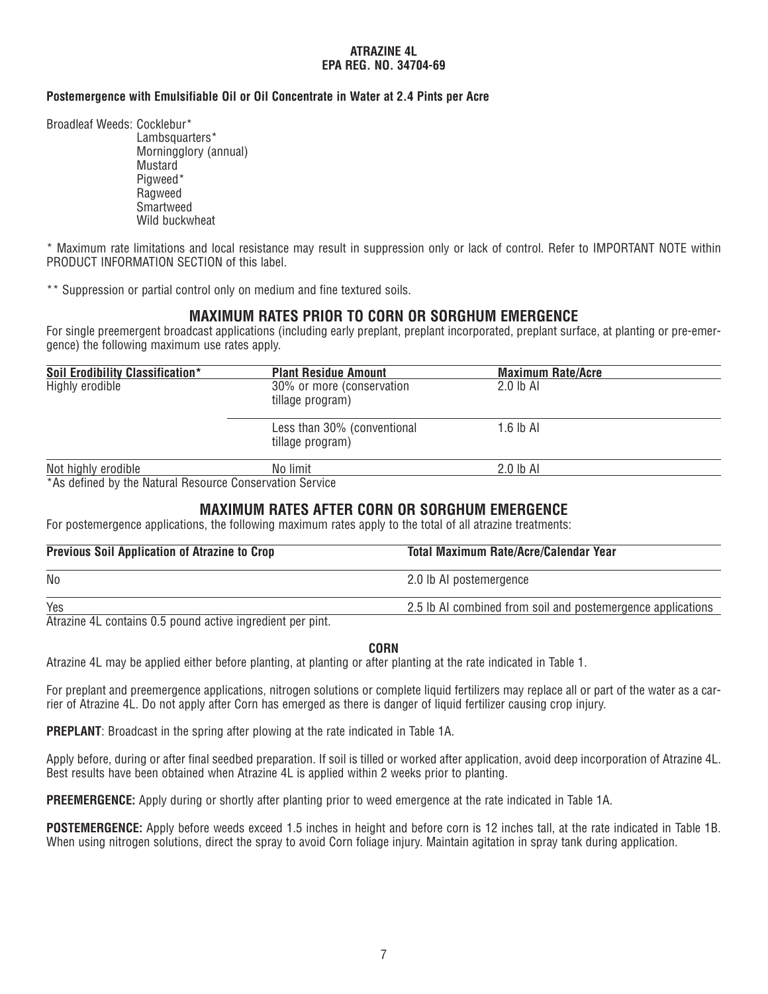## **Postemergence with Emulsifiable Oil or Oil Concentrate in Water at 2.4 Pints per Acre**

Broadleaf Weeds: Cocklebur\*

Lambsquarters\* Morningglory (annual) Mustard Pigweed\* Ragweed **Smartweed** Wild buckwheat

\* Maximum rate limitations and local resistance may result in suppression only or lack of control. Refer to IMPORTANT NOTE within PRODUCT INFORMATION SECTION of this label.

\*\* Suppression or partial control only on medium and fine textured soils.

# **MAXIMUM RATES PRIOR TO CORN OR SORGHUM EMERGENCE**

For single preemergent broadcast applications (including early preplant, preplant incorporated, preplant surface, at planting or pre-emergence) the following maximum use rates apply.

| Soil Erodibility Classification* | <b>Plant Residue Amount</b>                     | <b>Maximum Rate/Acre</b> |  |
|----------------------------------|-------------------------------------------------|--------------------------|--|
| Highly erodible                  | 30% or more (conservation<br>tillage program)   | 2.0 lb Al                |  |
|                                  | Less than 30% (conventional<br>tillage program) | 1.6 lb Al                |  |
| Not highly erodible              | No limit                                        | $2.0$ lb Al              |  |

\*As defined by the Natural Resource Conservation Service

# **MAXIMUM RATES AFTER CORN OR SORGHUM EMERGENCE**

For postemergence applications, the following maximum rates apply to the total of all atrazine treatments:

| <b>Total Maximum Rate/Acre/Calendar Year</b>                |  |
|-------------------------------------------------------------|--|
| 2.0 lb AI postemergence                                     |  |
| 2.5 lb AI combined from soil and postemergence applications |  |
|                                                             |  |

Atrazine 4L contains 0.5 pound active ingredient per pint.

#### **CORN**

Atrazine 4L may be applied either before planting, at planting or after planting at the rate indicated in Table 1.

For preplant and preemergence applications, nitrogen solutions or complete liquid fertilizers may replace all or part of the water as a carrier of Atrazine 4L. Do not apply after Corn has emerged as there is danger of liquid fertilizer causing crop injury.

**PREPLANT**: Broadcast in the spring after plowing at the rate indicated in Table 1A.

Apply before, during or after final seedbed preparation. If soil is tilled or worked after application, avoid deep incorporation of Atrazine 4L. Best results have been obtained when Atrazine 4L is applied within 2 weeks prior to planting.

**PREEMERGENCE:** Apply during or shortly after planting prior to weed emergence at the rate indicated in Table 1A.

**POSTEMERGENCE:** Apply before weeds exceed 1.5 inches in height and before corn is 12 inches tall, at the rate indicated in Table 1B. When using nitrogen solutions, direct the spray to avoid Corn foliage injury. Maintain agitation in spray tank during application.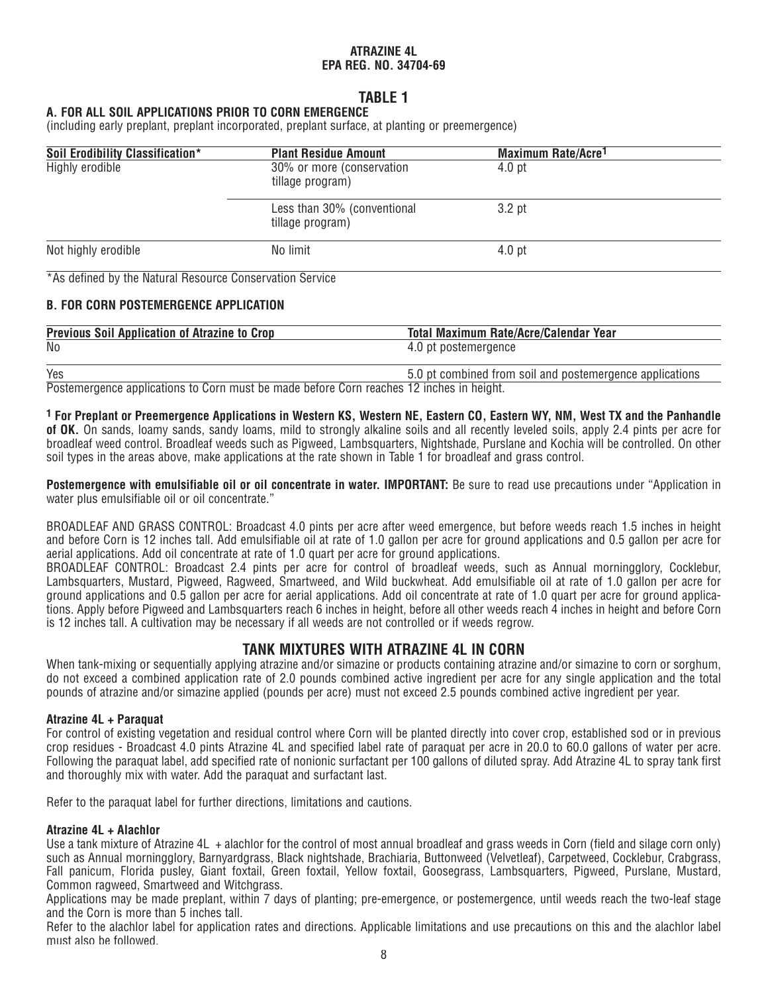# **TABLE 1**

## **A. FOR ALL SOIL APPLICATIONS PRIOR TO CORN EMERGENCE**

(including early preplant, preplant incorporated, preplant surface, at planting or preemergence)

| Soil Erodibility Classification*                         | <b>Plant Residue Amount</b>                     | Maximum Rate/Acre <sup>1</sup> |  |
|----------------------------------------------------------|-------------------------------------------------|--------------------------------|--|
| Highly erodible                                          | 30% or more (conservation<br>tillage program)   | 4.0 pt                         |  |
|                                                          | Less than 30% (conventional<br>tillage program) | 3.2 <sub>pt</sub>              |  |
| Not highly erodible                                      | No limit                                        | 4.0 <sub>pt</sub>              |  |
| *As defined by the Natural Resource Conservation Service |                                                 |                                |  |
| <b>B. FOR CORN POSTEMERGENCE APPLICATION</b>             |                                                 |                                |  |

| <b>Previous Soil Application of Atrazine to Crop</b> | Total Maximum Rate/Acre/Calendar Year                    |
|------------------------------------------------------|----------------------------------------------------------|
| No                                                   | 4.0 pt postemergence                                     |
|                                                      |                                                          |
| Yes                                                  | 5.0 pt combined from soil and postemergence applications |

Postemergence applications to Corn must be made before Corn reaches 12 inches in height.

**1 For Preplant or Preemergence Applications in Western KS, Western NE, Eastern CO, Eastern WY, NM, West TX and the Panhandle of OK.** On sands, loamy sands, sandy loams, mild to strongly alkaline soils and all recently leveled soils, apply 2.4 pints per acre for broadleaf weed control. Broadleaf weeds such as Pigweed, Lambsquarters, Nightshade, Purslane and Kochia will be controlled. On other soil types in the areas above, make applications at the rate shown in Table 1 for broadleaf and grass control.

**Postemergence with emulsifiable oil or oil concentrate in water. IMPORTANT:** Be sure to read use precautions under "Application in water plus emulsifiable oil or oil concentrate."

BROADLEAF AND GRASS CONTROL: Broadcast 4.0 pints per acre after weed emergence, but before weeds reach 1.5 inches in height and before Corn is 12 inches tall. Add emulsifiable oil at rate of 1.0 gallon per acre for ground applications and 0.5 gallon per acre for aerial applications. Add oil concentrate at rate of 1.0 quart per acre for ground applications.

BROADLEAF CONTROL: Broadcast 2.4 pints per acre for control of broadleaf weeds, such as Annual morningglory, Cocklebur, Lambsquarters, Mustard, Pigweed, Ragweed, Smartweed, and Wild buckwheat. Add emulsifiable oil at rate of 1.0 gallon per acre for ground applications and 0.5 gallon per acre for aerial applications. Add oil concentrate at rate of 1.0 quart per acre for ground applications. Apply before Pigweed and Lambsquarters reach 6 inches in height, before all other weeds reach 4 inches in height and before Corn is 12 inches tall. A cultivation may be necessary if all weeds are not controlled or if weeds regrow.

# **TANK MIXTURES WITH ATRAZINE 4L IN CORN**

When tank-mixing or sequentially applying atrazine and/or simazine or products containing atrazine and/or simazine to corn or sorghum, do not exceed a combined application rate of 2.0 pounds combined active ingredient per acre for any single application and the total pounds of atrazine and/or simazine applied (pounds per acre) must not exceed 2.5 pounds combined active ingredient per year.

#### **Atrazine 4L + Paraquat**

For control of existing vegetation and residual control where Corn will be planted directly into cover crop, established sod or in previous crop residues - Broadcast 4.0 pints Atrazine 4L and specified label rate of paraquat per acre in 20.0 to 60.0 gallons of water per acre. Following the paraquat label, add specified rate of nonionic surfactant per 100 gallons of diluted spray. Add Atrazine 4L to spray tank first and thoroughly mix with water. Add the paraquat and surfactant last.

Refer to the paraquat label for further directions, limitations and cautions.

#### **Atrazine 4L + Alachlor**

Use a tank mixture of Atrazine 4L + alachlor for the control of most annual broadleaf and grass weeds in Corn (field and silage corn only) such as Annual morningglory, Barnyardgrass, Black nightshade, Brachiaria, Buttonweed (Velvetleaf), Carpetweed, Cocklebur, Crabgrass, Fall panicum, Florida pusley, Giant foxtail, Green foxtail, Yellow foxtail, Goosegrass, Lambsquarters, Pigweed, Purslane, Mustard, Common ragweed, Smartweed and Witchgrass.

Applications may be made preplant, within 7 days of planting; pre-emergence, or postemergence, until weeds reach the two-leaf stage and the Corn is more than 5 inches tall.

Refer to the alachlor label for application rates and directions. Applicable limitations and use precautions on this and the alachlor label must also be followed.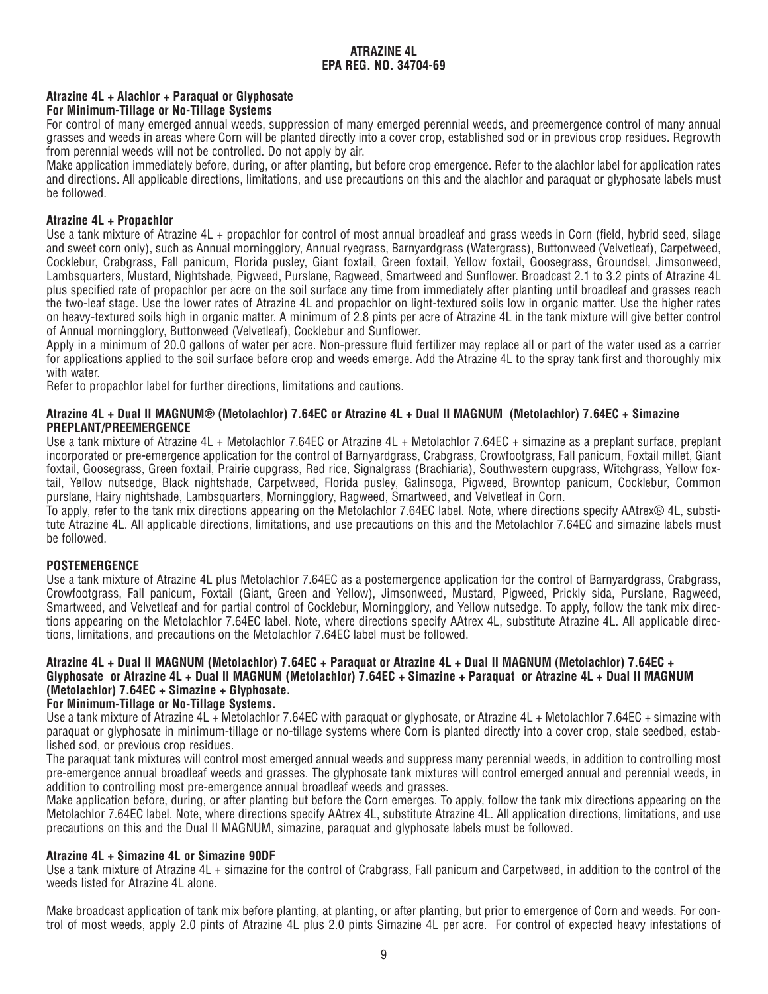# **Atrazine 4L + Alachlor + Paraquat or Glyphosate**

## **For Minimum-Tillage or No-Tillage Systems**

For control of many emerged annual weeds, suppression of many emerged perennial weeds, and preemergence control of many annual grasses and weeds in areas where Corn will be planted directly into a cover crop, established sod or in previous crop residues. Regrowth from perennial weeds will not be controlled. Do not apply by air.

Make application immediately before, during, or after planting, but before crop emergence. Refer to the alachlor label for application rates and directions. All applicable directions, limitations, and use precautions on this and the alachlor and paraquat or glyphosate labels must be followed.

## **Atrazine 4L + Propachlor**

Use a tank mixture of Atrazine 4L + propachlor for control of most annual broadleaf and grass weeds in Corn (field, hybrid seed, silage and sweet corn only), such as Annual morningglory, Annual ryegrass, Barnyardgrass (Watergrass), Buttonweed (Velvetleaf), Carpetweed, Cocklebur, Crabgrass, Fall panicum, Florida pusley, Giant foxtail, Green foxtail, Yellow foxtail, Goosegrass, Groundsel, Jimsonweed, Lambsquarters, Mustard, Nightshade, Pigweed, Purslane, Ragweed, Smartweed and Sunflower. Broadcast 2.1 to 3.2 pints of Atrazine 4L plus specified rate of propachlor per acre on the soil surface any time from immediately after planting until broadleaf and grasses reach the two-leaf stage. Use the lower rates of Atrazine 4L and propachlor on light-textured soils low in organic matter. Use the higher rates on heavy-textured soils high in organic matter. A minimum of 2.8 pints per acre of Atrazine 4L in the tank mixture will give better control of Annual morningglory, Buttonweed (Velvetleaf), Cocklebur and Sunflower.

Apply in a minimum of 20.0 gallons of water per acre. Non-pressure fluid fertilizer may replace all or part of the water used as a carrier for applications applied to the soil surface before crop and weeds emerge. Add the Atrazine 4L to the spray tank first and thoroughly mix with water.

Refer to propachlor label for further directions, limitations and cautions.

#### **Atrazine 4L + Dual II MAGNUM® (Metolachlor) 7.64EC or Atrazine 4L + Dual II MAGNUM (Metolachlor) 7.64EC + Simazine PREPLANT/PREEMERGENCE**

Use a tank mixture of Atrazine 4L + Metolachlor 7.64EC or Atrazine 4L + Metolachlor 7.64EC + simazine as a preplant surface, preplant incorporated or pre-emergence application for the control of Barnyardgrass, Crabgrass, Crowfootgrass, Fall panicum, Foxtail millet, Giant foxtail, Goosegrass, Green foxtail, Prairie cupgrass, Red rice, Signalgrass (Brachiaria), Southwestern cupgrass, Witchgrass, Yellow foxtail, Yellow nutsedge, Black nightshade, Carpetweed, Florida pusley, Galinsoga, Pigweed, Browntop panicum, Cocklebur, Common purslane, Hairy nightshade, Lambsquarters, Morningglory, Ragweed, Smartweed, and Velvetleaf in Corn.

To apply, refer to the tank mix directions appearing on the Metolachlor 7.64EC label. Note, where directions specify AAtrex® 4L, substitute Atrazine 4L. All applicable directions, limitations, and use precautions on this and the Metolachlor 7.64EC and simazine labels must be followed.

#### **POSTEMERGENCE**

Use a tank mixture of Atrazine 4L plus Metolachlor 7.64EC as a postemergence application for the control of Barnyardgrass, Crabgrass, Crowfootgrass, Fall panicum, Foxtail (Giant, Green and Yellow), Jimsonweed, Mustard, Pigweed, Prickly sida, Purslane, Ragweed, Smartweed, and Velvetleaf and for partial control of Cocklebur, Morningglory, and Yellow nutsedge. To apply, follow the tank mix directions appearing on the Metolachlor 7.64EC label. Note, where directions specify AAtrex 4L, substitute Atrazine 4L. All applicable directions, limitations, and precautions on the Metolachlor 7.64EC label must be followed.

#### **Atrazine 4L + Dual II MAGNUM (Metolachlor) 7.64EC + Paraquat or Atrazine 4L + Dual II MAGNUM (Metolachlor) 7.64EC + Glyphosate or Atrazine 4L + Dual II MAGNUM (Metolachlor) 7.64EC + Simazine + Paraquat or Atrazine 4L + Dual II MAGNUM (Metolachlor) 7.64EC + Simazine + Glyphosate.**

#### **For Minimum-Tillage or No-Tillage Systems.**

Use a tank mixture of Atrazine 4L + Metolachlor 7.64EC with paraquat or glyphosate, or Atrazine 4L + Metolachlor 7.64EC + simazine with paraquat or glyphosate in minimum-tillage or no-tillage systems where Corn is planted directly into a cover crop, stale seedbed, established sod, or previous crop residues.

The paraquat tank mixtures will control most emerged annual weeds and suppress many perennial weeds, in addition to controlling most pre-emergence annual broadleaf weeds and grasses. The glyphosate tank mixtures will control emerged annual and perennial weeds, in addition to controlling most pre-emergence annual broadleaf weeds and grasses.

Make application before, during, or after planting but before the Corn emerges. To apply, follow the tank mix directions appearing on the Metolachlor 7.64EC label. Note, where directions specify AAtrex 4L, substitute Atrazine 4L. All application directions, limitations, and use precautions on this and the Dual II MAGNUM, simazine, paraquat and glyphosate labels must be followed.

#### **Atrazine 4L + Simazine 4L or Simazine 90DF**

Use a tank mixture of Atrazine 4L + simazine for the control of Crabgrass, Fall panicum and Carpetweed, in addition to the control of the weeds listed for Atrazine 4L alone.

Make broadcast application of tank mix before planting, at planting, or after planting, but prior to emergence of Corn and weeds. For control of most weeds, apply 2.0 pints of Atrazine 4L plus 2.0 pints Simazine 4L per acre. For control of expected heavy infestations of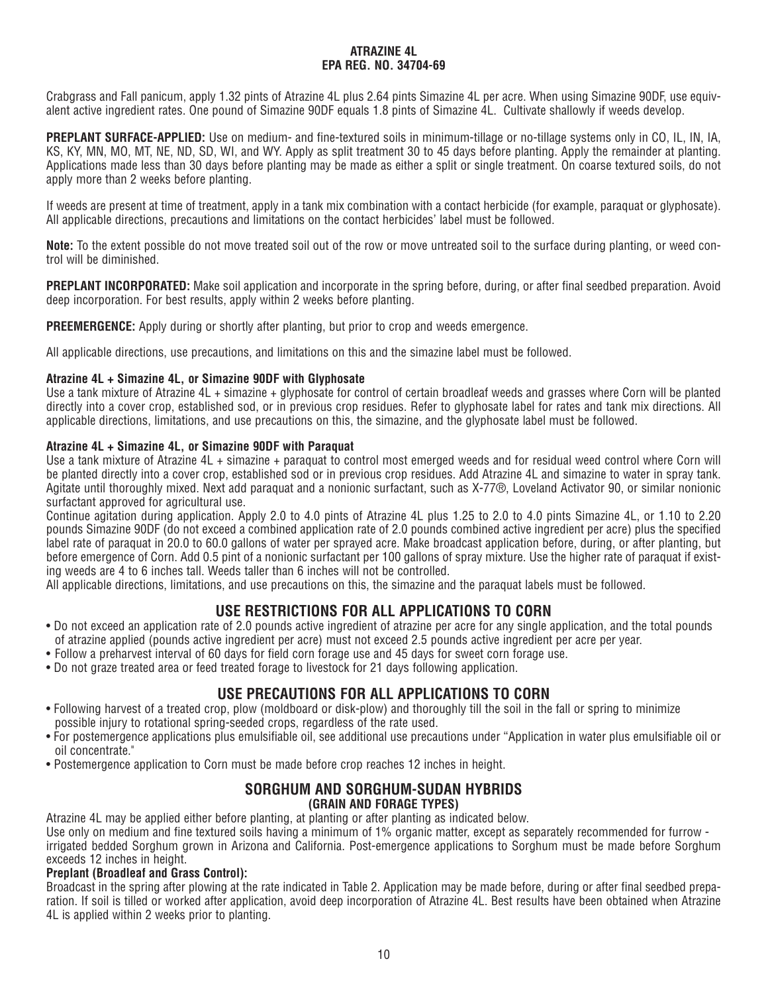Crabgrass and Fall panicum, apply 1.32 pints of Atrazine 4L plus 2.64 pints Simazine 4L per acre. When using Simazine 90DF, use equivalent active ingredient rates. One pound of Simazine 90DF equals 1.8 pints of Simazine 4L. Cultivate shallowly if weeds develop.

**PREPLANT SURFACE-APPLIED:** Use on medium- and fine-textured soils in minimum-tillage or no-tillage systems only in CO, IL, IN, IA, KS, KY, MN, MO, MT, NE, ND, SD, WI, and WY. Apply as split treatment 30 to 45 days before planting. Apply the remainder at planting. Applications made less than 30 days before planting may be made as either a split or single treatment. On coarse textured soils, do not apply more than 2 weeks before planting.

If weeds are present at time of treatment, apply in a tank mix combination with a contact herbicide (for example, paraquat or glyphosate). All applicable directions, precautions and limitations on the contact herbicides' label must be followed.

**Note:** To the extent possible do not move treated soil out of the row or move untreated soil to the surface during planting, or weed control will be diminished.

**PREPLANT INCORPORATED:** Make soil application and incorporate in the spring before, during, or after final seedbed preparation. Avoid deep incorporation. For best results, apply within 2 weeks before planting.

**PREEMERGENCE:** Apply during or shortly after planting, but prior to crop and weeds emergence.

All applicable directions, use precautions, and limitations on this and the simazine label must be followed.

# **Atrazine 4L + Simazine 4L, or Simazine 90DF with Glyphosate**

Use a tank mixture of Atrazine 4L + simazine + glyphosate for control of certain broadleaf weeds and grasses where Corn will be planted directly into a cover crop, established sod, or in previous crop residues. Refer to glyphosate label for rates and tank mix directions. All applicable directions, limitations, and use precautions on this, the simazine, and the glyphosate label must be followed.

#### **Atrazine 4L + Simazine 4L, or Simazine 90DF with Paraquat**

Use a tank mixture of Atrazine 4L + simazine + paraquat to control most emerged weeds and for residual weed control where Corn will be planted directly into a cover crop, established sod or in previous crop residues. Add Atrazine 4L and simazine to water in spray tank. Agitate until thoroughly mixed. Next add paraquat and a nonionic surfactant, such as X-77®, Loveland Activator 90, or similar nonionic surfactant approved for agricultural use.

Continue agitation during application. Apply 2.0 to 4.0 pints of Atrazine 4L plus 1.25 to 2.0 to 4.0 pints Simazine 4L, or 1.10 to 2.20 pounds Simazine 90DF (do not exceed a combined application rate of 2.0 pounds combined active ingredient per acre) plus the specified label rate of paraquat in 20.0 to 60.0 gallons of water per sprayed acre. Make broadcast application before, during, or after planting, but before emergence of Corn. Add 0.5 pint of a nonionic surfactant per 100 gallons of spray mixture. Use the higher rate of paraquat if existing weeds are 4 to 6 inches tall. Weeds taller than 6 inches will not be controlled.

All applicable directions, limitations, and use precautions on this, the simazine and the paraquat labels must be followed.

# **USE RESTRICTIONS FOR ALL APPLICATIONS TO CORN**

- Do not exceed an application rate of 2.0 pounds active ingredient of atrazine per acre for any single application, and the total pounds of atrazine applied (pounds active ingredient per acre) must not exceed 2.5 pounds active ingredient per acre per year.
- Follow a preharvest interval of 60 days for field corn forage use and 45 days for sweet corn forage use.
- Do not graze treated area or feed treated forage to livestock for 21 days following application.

# **USE PRECAUTIONS FOR ALL APPLICATIONS TO CORN**

- Following harvest of a treated crop, plow (moldboard or disk-plow) and thoroughly till the soil in the fall or spring to minimize possible injury to rotational spring-seeded crops, regardless of the rate used.
- For postemergence applications plus emulsifiable oil, see additional use precautions under "Application in water plus emulsifiable oil or oil concentrate."
- Postemergence application to Corn must be made before crop reaches 12 inches in height.

## **SORGHUM AND SORGHUM-SUDAN HYBRIDS (GRAIN AND FORAGE TYPES)**

Atrazine 4L may be applied either before planting, at planting or after planting as indicated below.

Use only on medium and fine textured soils having a minimum of 1% organic matter, except as separately recommended for furrow irrigated bedded Sorghum grown in Arizona and California. Post-emergence applications to Sorghum must be made before Sorghum exceeds 12 inches in height.

#### **Preplant (Broadleaf and Grass Control):**

Broadcast in the spring after plowing at the rate indicated in Table 2. Application may be made before, during or after final seedbed preparation. If soil is tilled or worked after application, avoid deep incorporation of Atrazine 4L. Best results have been obtained when Atrazine 4L is applied within 2 weeks prior to planting.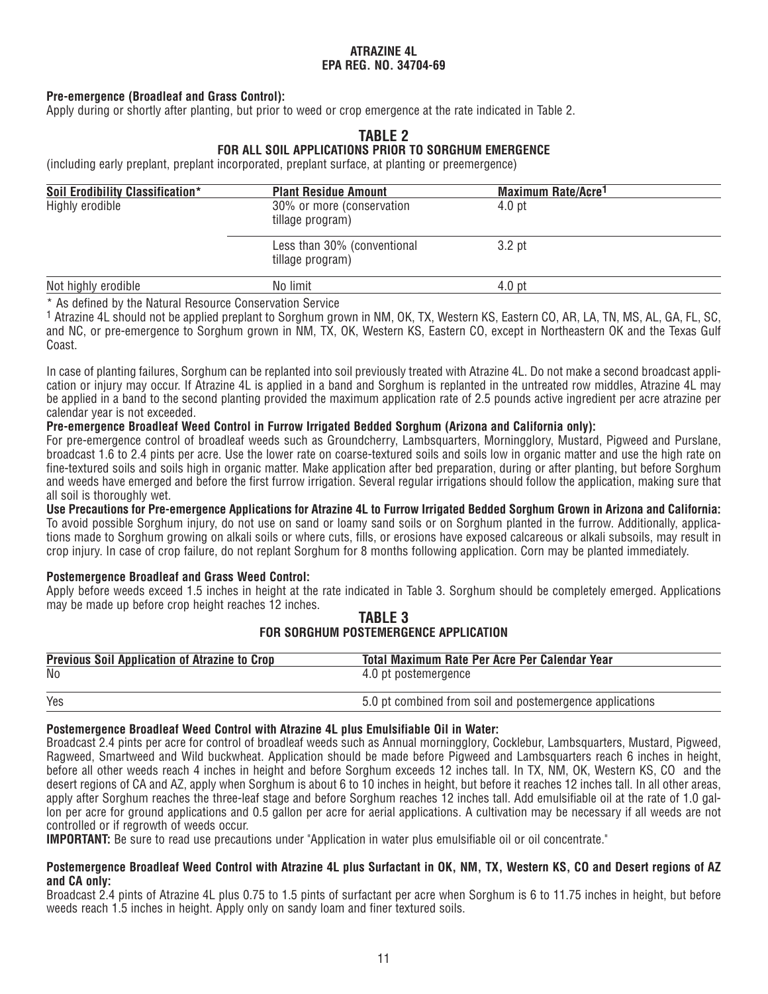# **Pre-emergence (Broadleaf and Grass Control):**

Apply during or shortly after planting, but prior to weed or crop emergence at the rate indicated in Table 2.

# **TABLE 2**

## **FOR ALL SOIL APPLICATIONS PRIOR TO SORGHUM EMERGENCE**

(including early preplant, preplant incorporated, preplant surface, at planting or preemergence)

| Soil Erodibility Classification* | <b>Plant Residue Amount</b>                     | <b>Maximum Rate/Acre<sup>1</sup></b> |  |
|----------------------------------|-------------------------------------------------|--------------------------------------|--|
| Highly erodible                  | 30% or more (conservation<br>tillage program)   | 4.0 <sub>pt</sub>                    |  |
|                                  | Less than 30% (conventional<br>tillage program) | 3.2 pt                               |  |
| Not highly erodible              | No limit                                        | 4.0 <sub>pt</sub>                    |  |
|                                  |                                                 |                                      |  |

\* As defined by the Natural Resource Conservation Service

1 Atrazine 4L should not be applied preplant to Sorghum grown in NM, OK, TX, Western KS, Eastern CO, AR, LA, TN, MS, AL, GA, FL, SC, and NC, or pre-emergence to Sorghum grown in NM, TX, OK, Western KS, Eastern CO, except in Northeastern OK and the Texas Gulf Coast.

In case of planting failures, Sorghum can be replanted into soil previously treated with Atrazine 4L. Do not make a second broadcast application or injury may occur. If Atrazine 4L is applied in a band and Sorghum is replanted in the untreated row middles, Atrazine 4L may be applied in a band to the second planting provided the maximum application rate of 2.5 pounds active ingredient per acre atrazine per calendar year is not exceeded.

#### **Pre-emergence Broadleaf Weed Control in Furrow Irrigated Bedded Sorghum (Arizona and California only):**

For pre-emergence control of broadleaf weeds such as Groundcherry, Lambsquarters, Morningglory, Mustard, Pigweed and Purslane, broadcast 1.6 to 2.4 pints per acre. Use the lower rate on coarse-textured soils and soils low in organic matter and use the high rate on fine-textured soils and soils high in organic matter. Make application after bed preparation, during or after planting, but before Sorghum and weeds have emerged and before the first furrow irrigation. Several regular irrigations should follow the application, making sure that all soil is thoroughly wet.

**Use Precautions for Pre-emergence Applications for Atrazine 4L to Furrow Irrigated Bedded Sorghum Grown in Arizona and California:**  To avoid possible Sorghum injury, do not use on sand or loamy sand soils or on Sorghum planted in the furrow. Additionally, applications made to Sorghum growing on alkali soils or where cuts, fills, or erosions have exposed calcareous or alkali subsoils, may result in crop injury. In case of crop failure, do not replant Sorghum for 8 months following application. Corn may be planted immediately.

#### **Postemergence Broadleaf and Grass Weed Control:**

Apply before weeds exceed 1.5 inches in height at the rate indicated in Table 3. Sorghum should be completely emerged. Applications may be made up before crop height reaches 12 inches.

#### **TABLE 3 FOR SORGHUM POSTEMERGENCE APPLICATION**

| <b>Previous Soil Application of Atrazine to Crop</b> | Total Maximum Rate Per Acre Per Calendar Year            |
|------------------------------------------------------|----------------------------------------------------------|
| No                                                   | 4.0 pt postemergence                                     |
| Yes                                                  | 5.0 pt combined from soil and postemergence applications |

#### **Postemergence Broadleaf Weed Control with Atrazine 4L plus Emulsifiable Oil in Water:**

Broadcast 2.4 pints per acre for control of broadleaf weeds such as Annual morningglory, Cocklebur, Lambsquarters, Mustard, Pigweed, Ragweed, Smartweed and Wild buckwheat. Application should be made before Pigweed and Lambsquarters reach 6 inches in height, before all other weeds reach 4 inches in height and before Sorghum exceeds 12 inches tall. In TX, NM, OK, Western KS, CO and the desert regions of CA and AZ, apply when Sorghum is about 6 to 10 inches in height, but before it reaches 12 inches tall. In all other areas, apply after Sorghum reaches the three-leaf stage and before Sorghum reaches 12 inches tall. Add emulsifiable oil at the rate of 1.0 gallon per acre for ground applications and 0.5 gallon per acre for aerial applications. A cultivation may be necessary if all weeds are not controlled or if regrowth of weeds occur.

**IMPORTANT:** Be sure to read use precautions under "Application in water plus emulsifiable oil or oil concentrate."

#### **Postemergence Broadleaf Weed Control with Atrazine 4L plus Surfactant in OK, NM, TX, Western KS, CO and Desert regions of AZ and CA only:**

Broadcast 2.4 pints of Atrazine 4L plus 0.75 to 1.5 pints of surfactant per acre when Sorghum is 6 to 11.75 inches in height, but before weeds reach 1.5 inches in height. Apply only on sandy loam and finer textured soils.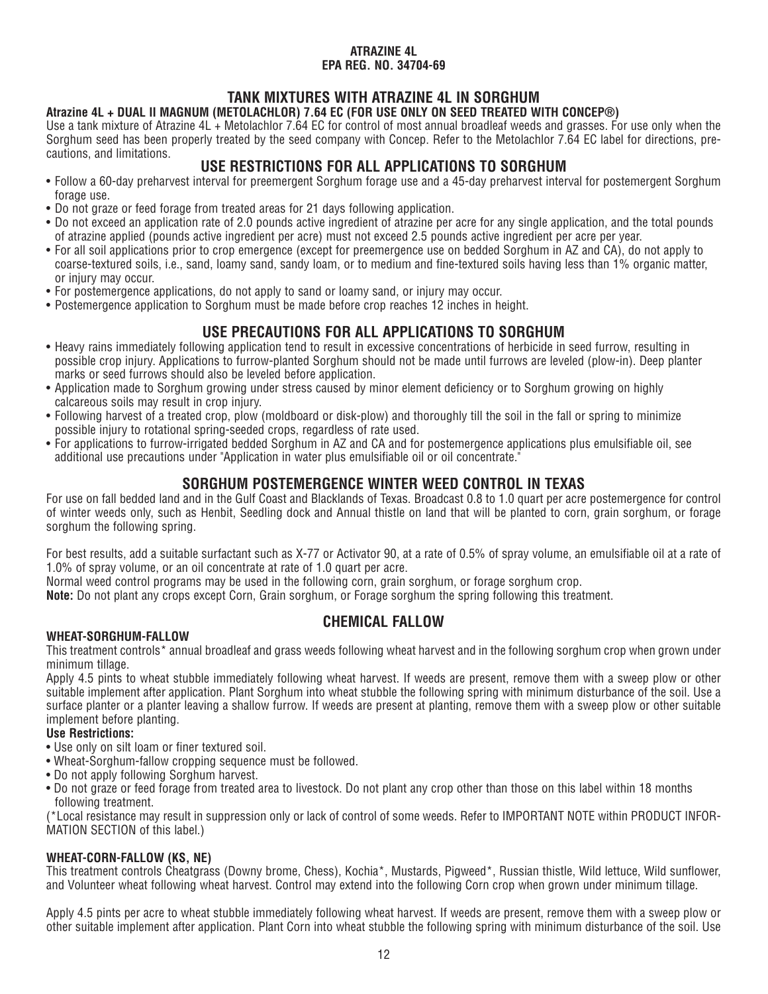# **TANK MIXTURES WITH ATRAZINE 4L IN SORGHUM**

# **Atrazine 4L + DUAL II MAGNUM (METOLACHLOR) 7.64 EC (FOR USE ONLY ON SEED TREATED WITH CONCEP®)**

Use a tank mixture of Atrazine 4L + Metolachlor 7.64 EC for control of most annual broadleaf weeds and grasses. For use only when the Sorghum seed has been properly treated by the seed company with Concep. Refer to the Metolachlor 7.64 EC label for directions, precautions, and limitations.

# **USE RESTRICTIONS FOR ALL APPLICATIONS TO SORGHUM**

- Follow a 60-day preharvest interval for preemergent Sorghum forage use and a 45-day preharvest interval for postemergent Sorghum forage use.
- Do not graze or feed forage from treated areas for 21 days following application.
- Do not exceed an application rate of 2.0 pounds active ingredient of atrazine per acre for any single application, and the total pounds of atrazine applied (pounds active ingredient per acre) must not exceed 2.5 pounds active ingredient per acre per year.
- For all soil applications prior to crop emergence (except for preemergence use on bedded Sorghum in AZ and CA), do not apply to coarse-textured soils, i.e., sand, loamy sand, sandy loam, or to medium and fine-textured soils having less than 1% organic matter, or injury may occur.
- For postemergence applications, do not apply to sand or loamy sand, or injury may occur.
- Postemergence application to Sorghum must be made before crop reaches 12 inches in height.

# **USE PRECAUTIONS FOR ALL APPLICATIONS TO SORGHUM**

- Heavy rains immediately following application tend to result in excessive concentrations of herbicide in seed furrow, resulting in possible crop injury. Applications to furrow-planted Sorghum should not be made until furrows are leveled (plow-in). Deep planter marks or seed furrows should also be leveled before application.
- Application made to Sorghum growing under stress caused by minor element deficiency or to Sorghum growing on highly calcareous soils may result in crop injury.
- Following harvest of a treated crop, plow (moldboard or disk-plow) and thoroughly till the soil in the fall or spring to minimize possible injury to rotational spring-seeded crops, regardless of rate used.
- For applications to furrow-irrigated bedded Sorghum in AZ and CA and for postemergence applications plus emulsifiable oil, see additional use precautions under "Application in water plus emulsifiable oil or oil concentrate."

# **SORGHUM POSTEMERGENCE WINTER WEED CONTROL IN TEXAS**

For use on fall bedded land and in the Gulf Coast and Blacklands of Texas. Broadcast 0.8 to 1.0 quart per acre postemergence for control of winter weeds only, such as Henbit, Seedling dock and Annual thistle on land that will be planted to corn, grain sorghum, or forage sorghum the following spring.

For best results, add a suitable surfactant such as X-77 or Activator 90, at a rate of 0.5% of spray volume, an emulsifiable oil at a rate of 1.0% of spray volume, or an oil concentrate at rate of 1.0 quart per acre.

Normal weed control programs may be used in the following corn, grain sorghum, or forage sorghum crop.

**Note:** Do not plant any crops except Corn, Grain sorghum, or Forage sorghum the spring following this treatment.

# **CHEMICAL FALLOW**

# **WHEAT-SORGHUM-FALLOW**

This treatment controls\* annual broadleaf and grass weeds following wheat harvest and in the following sorghum crop when grown under minimum tillage.

Apply 4.5 pints to wheat stubble immediately following wheat harvest. If weeds are present, remove them with a sweep plow or other suitable implement after application. Plant Sorghum into wheat stubble the following spring with minimum disturbance of the soil. Use a surface planter or a planter leaving a shallow furrow. If weeds are present at planting, remove them with a sweep plow or other suitable implement before planting.

#### **Use Restrictions:**

- Use only on silt loam or finer textured soil.
- Wheat-Sorghum-fallow cropping sequence must be followed.
- Do not apply following Sorghum harvest.
- Do not graze or feed forage from treated area to livestock. Do not plant any crop other than those on this label within 18 months following treatment.

(\*Local resistance may result in suppression only or lack of control of some weeds. Refer to IMPORTANT NOTE within PRODUCT INFOR-MATION SECTION of this label.)

# **WHEAT-CORN-FALLOW (KS, NE)**

This treatment controls Cheatgrass (Downy brome, Chess), Kochia\*, Mustards, Pigweed\*, Russian thistle, Wild lettuce, Wild sunflower, and Volunteer wheat following wheat harvest. Control may extend into the following Corn crop when grown under minimum tillage.

Apply 4.5 pints per acre to wheat stubble immediately following wheat harvest. If weeds are present, remove them with a sweep plow or other suitable implement after application. Plant Corn into wheat stubble the following spring with minimum disturbance of the soil. Use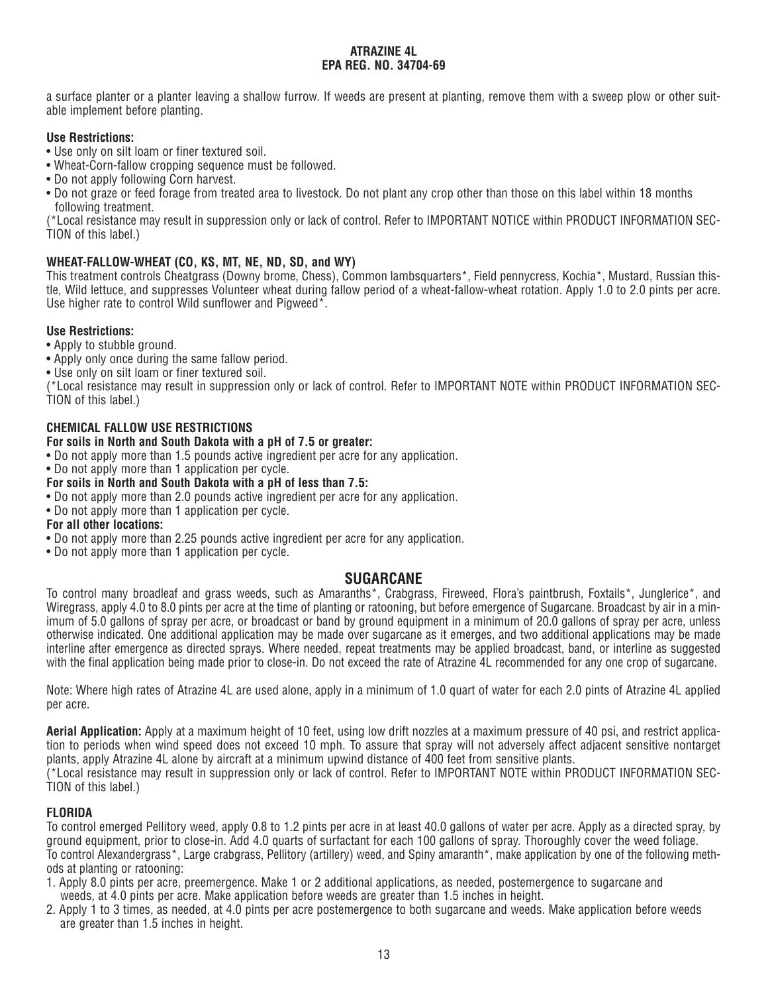a surface planter or a planter leaving a shallow furrow. If weeds are present at planting, remove them with a sweep plow or other suitable implement before planting.

# **Use Restrictions:**

- Use only on silt loam or finer textured soil.
- Wheat-Corn-fallow cropping sequence must be followed.
- Do not apply following Corn harvest.
- Do not graze or feed forage from treated area to livestock. Do not plant any crop other than those on this label within 18 months following treatment.

(\*Local resistance may result in suppression only or lack of control. Refer to IMPORTANT NOTICE within PRODUCT INFORMATION SEC-TION of this label.)

# **WHEAT-FALLOW-WHEAT (CO, KS, MT, NE, ND, SD, and WY)**

This treatment controls Cheatgrass (Downy brome, Chess), Common lambsquarters\*, Field pennycress, Kochia\*, Mustard, Russian thistle, Wild lettuce, and suppresses Volunteer wheat during fallow period of a wheat-fallow-wheat rotation. Apply 1.0 to 2.0 pints per acre. Use higher rate to control Wild sunflower and Pigweed\*.

# **Use Restrictions:**

- Apply to stubble ground.
- Apply only once during the same fallow period.
- Use only on silt loam or finer textured soil.

(\*Local resistance may result in suppression only or lack of control. Refer to IMPORTANT NOTE within PRODUCT INFORMATION SEC-TION of this label.)

# **CHEMICAL FALLOW USE RESTRICTIONS**

# **For soils in North and South Dakota with a pH of 7.5 or greater:**

- Do not apply more than 1.5 pounds active ingredient per acre for any application.
- Do not apply more than 1 application per cycle.

# **For soils in North and South Dakota with a pH of less than 7.5:**

- Do not apply more than 2.0 pounds active ingredient per acre for any application.
- Do not apply more than 1 application per cycle.

# **For all other locations:**

- Do not apply more than 2.25 pounds active ingredient per acre for any application.
- Do not apply more than 1 application per cycle.

# **SUGARCANE**

To control many broadleaf and grass weeds, such as Amaranths\*, Crabgrass, Fireweed, Flora's paintbrush, Foxtails\*, Junglerice\*, and Wiregrass, apply 4.0 to 8.0 pints per acre at the time of planting or ratooning, but before emergence of Sugarcane. Broadcast by air in a minimum of 5.0 gallons of spray per acre, or broadcast or band by ground equipment in a minimum of 20.0 gallons of spray per acre, unless otherwise indicated. One additional application may be made over sugarcane as it emerges, and two additional applications may be made interline after emergence as directed sprays. Where needed, repeat treatments may be applied broadcast, band, or interline as suggested with the final application being made prior to close-in. Do not exceed the rate of Atrazine 4L recommended for any one crop of sugarcane.

Note: Where high rates of Atrazine 4L are used alone, apply in a minimum of 1.0 quart of water for each 2.0 pints of Atrazine 4L applied per acre.

**Aerial Application:** Apply at a maximum height of 10 feet, using low drift nozzles at a maximum pressure of 40 psi, and restrict application to periods when wind speed does not exceed 10 mph. To assure that spray will not adversely affect adjacent sensitive nontarget plants, apply Atrazine 4L alone by aircraft at a minimum upwind distance of 400 feet from sensitive plants.

(\*Local resistance may result in suppression only or lack of control. Refer to IMPORTANT NOTE within PRODUCT INFORMATION SEC-TION of this label.)

# **FLORIDA**

To control emerged Pellitory weed, apply 0.8 to 1.2 pints per acre in at least 40.0 gallons of water per acre. Apply as a directed spray, by ground equipment, prior to close-in. Add 4.0 quarts of surfactant for each 100 gallons of spray. Thoroughly cover the weed foliage. To control Alexandergrass\*, Large crabgrass, Pellitory (artillery) weed, and Spiny amaranth\*, make application by one of the following methods at planting or ratooning:

- 1. Apply 8.0 pints per acre, preemergence. Make 1 or 2 additional applications, as needed, postemergence to sugarcane and weeds, at 4.0 pints per acre. Make application before weeds are greater than 1.5 inches in height.
- 2. Apply 1 to 3 times, as needed, at 4.0 pints per acre postemergence to both sugarcane and weeds. Make application before weeds are greater than 1.5 inches in height.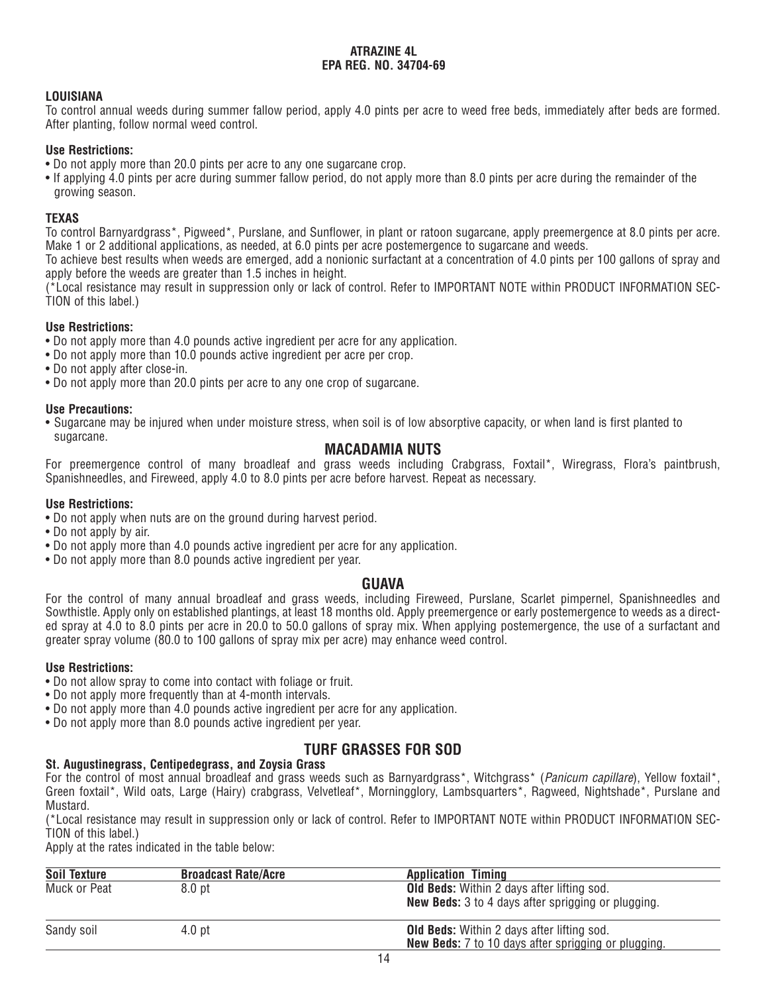## **LOUISIANA**

To control annual weeds during summer fallow period, apply 4.0 pints per acre to weed free beds, immediately after beds are formed. After planting, follow normal weed control.

#### **Use Restrictions:**

- Do not apply more than 20.0 pints per acre to any one sugarcane crop.
- If applying 4.0 pints per acre during summer fallow period, do not apply more than 8.0 pints per acre during the remainder of the growing season.

#### **TEXAS**

To control Barnyardgrass\*, Pigweed\*, Purslane, and Sunflower, in plant or ratoon sugarcane, apply preemergence at 8.0 pints per acre. Make 1 or 2 additional applications, as needed, at 6.0 pints per acre postemergence to sugarcane and weeds.

To achieve best results when weeds are emerged, add a nonionic surfactant at a concentration of 4.0 pints per 100 gallons of spray and apply before the weeds are greater than 1.5 inches in height.

(\*Local resistance may result in suppression only or lack of control. Refer to IMPORTANT NOTE within PRODUCT INFORMATION SEC-TION of this label.)

## **Use Restrictions:**

- Do not apply more than 4.0 pounds active ingredient per acre for any application.
- Do not apply more than 10.0 pounds active ingredient per acre per crop.
- Do not apply after close-in.
- Do not apply more than 20.0 pints per acre to any one crop of sugarcane.

#### **Use Precautions:**

• Sugarcane may be injured when under moisture stress, when soil is of low absorptive capacity, or when land is first planted to sugarcane.

# **MACADAMIA NUTS**

For preemergence control of many broadleaf and grass weeds including Crabgrass, Foxtail\*, Wiregrass, Flora's paintbrush, Spanishneedles, and Fireweed, apply 4.0 to 8.0 pints per acre before harvest. Repeat as necessary.

#### **Use Restrictions:**

- Do not apply when nuts are on the ground during harvest period.
- Do not apply by air.
- Do not apply more than 4.0 pounds active ingredient per acre for any application.
- Do not apply more than 8.0 pounds active ingredient per year.

# **GUAVA**

For the control of many annual broadleaf and grass weeds, including Fireweed, Purslane, Scarlet pimpernel, Spanishneedles and Sowthistle. Apply only on established plantings, at least 18 months old. Apply preemergence or early postemergence to weeds as a directed spray at 4.0 to 8.0 pints per acre in 20.0 to 50.0 gallons of spray mix. When applying postemergence, the use of a surfactant and greater spray volume (80.0 to 100 gallons of spray mix per acre) may enhance weed control.

#### **Use Restrictions:**

- Do not allow spray to come into contact with foliage or fruit.
- Do not apply more frequently than at 4-month intervals.
- Do not apply more than 4.0 pounds active ingredient per acre for any application.
- Do not apply more than 8.0 pounds active ingredient per year.

# **TURF GRASSES FOR SOD**

#### **St. Augustinegrass, Centipedegrass, and Zoysia Grass**

For the control of most annual broadleaf and grass weeds such as Barnyardgrass<sup>\*</sup>, Witchgrass<sup>\*</sup> (*Panicum capillare*), Yellow foxtail<sup>\*</sup>, Green foxtail\*, Wild oats, Large (Hairy) crabgrass, Velvetleaf\*, Morningglory, Lambsquarters\*, Ragweed, Nightshade\*, Purslane and Mustard.

(\*Local resistance may result in suppression only or lack of control. Refer to IMPORTANT NOTE within PRODUCT INFORMATION SEC-TION of this label.)

Apply at the rates indicated in the table below:

| <b>Soil Texture</b> | <b>Broadcast Rate/Acre</b> | <b>Application Timing</b>                                  |
|---------------------|----------------------------|------------------------------------------------------------|
| Muck or Peat        | 8.0 <sub>pt</sub>          | <b>Old Beds:</b> Within 2 days after lifting sod.          |
|                     |                            | <b>New Beds:</b> 3 to 4 days after sprigging or plugging.  |
| Sandy soil          | 4.0 <sub>pt</sub>          | <b>Old Beds:</b> Within 2 days after lifting sod.          |
|                     |                            | <b>New Beds:</b> 7 to 10 days after sprigging or plugging. |
|                     |                            |                                                            |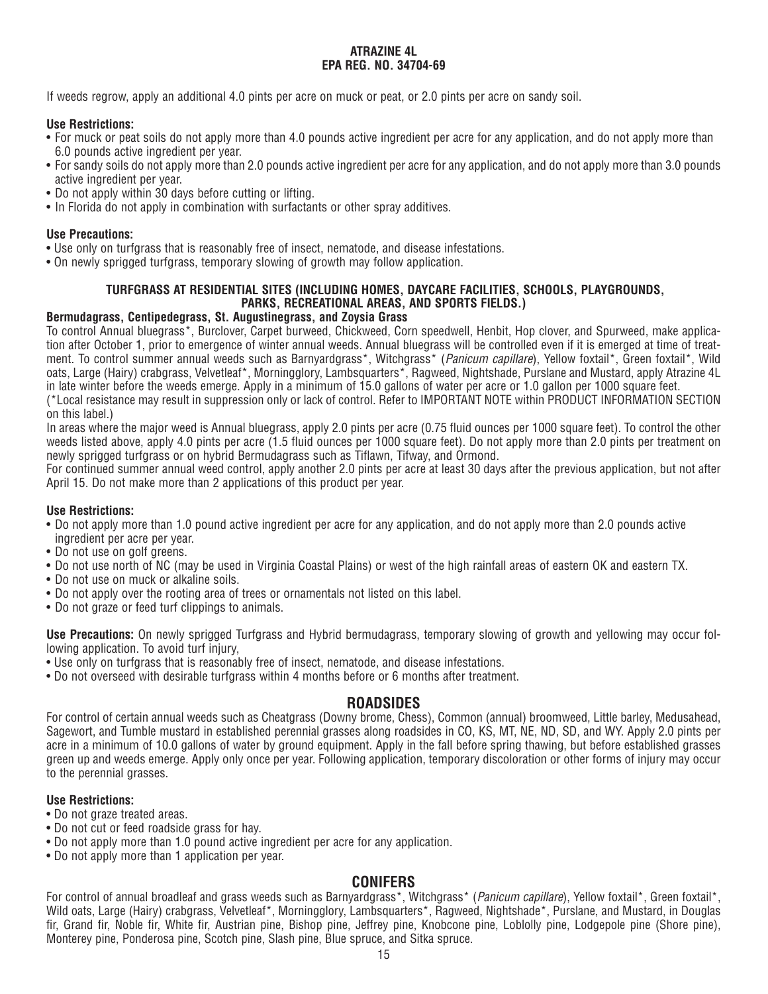If weeds regrow, apply an additional 4.0 pints per acre on muck or peat, or 2.0 pints per acre on sandy soil.

#### **Use Restrictions:**

- For muck or peat soils do not apply more than 4.0 pounds active ingredient per acre for any application, and do not apply more than 6.0 pounds active ingredient per year.
- For sandy soils do not apply more than 2.0 pounds active ingredient per acre for any application, and do not apply more than 3.0 pounds active ingredient per year.
- Do not apply within 30 days before cutting or lifting.
- In Florida do not apply in combination with surfactants or other spray additives.

## **Use Precautions:**

- Use only on turfgrass that is reasonably free of insect, nematode, and disease infestations.
- On newly sprigged turfgrass, temporary slowing of growth may follow application.

# **TURFGRASS AT RESIDENTIAL SITES (INCLUDING HOMES, DAYCARE FACILITIES, SCHOOLS, PLAYGROUNDS, PARKS, RECREATIONAL AREAS, AND SPORTS FIELDS.)**

# **Bermudagrass, Centipedegrass, St. Augustinegrass, and Zoysia Grass**

To control Annual bluegrass\*, Burclover, Carpet burweed, Chickweed, Corn speedwell, Henbit, Hop clover, and Spurweed, make application after October 1, prior to emergence of winter annual weeds. Annual bluegrass will be controlled even if it is emerged at time of treatment. To control summer annual weeds such as Barnyardgrass\*, Witchgrass\* (Panicum capillare), Yellow foxtail\*, Green foxtail\*, Wild oats, Large (Hairy) crabgrass, Velvetleaf\*, Morningglory, Lambsquarters\*, Ragweed, Nightshade, Purslane and Mustard, apply Atrazine 4L in late winter before the weeds emerge. Apply in a minimum of 15.0 gallons of water per acre or 1.0 gallon per 1000 square feet.

(\*Local resistance may result in suppression only or lack of control. Refer to IMPORTANT NOTE within PRODUCT INFORMATION SECTION on this label.)

In areas where the major weed is Annual bluegrass, apply 2.0 pints per acre (0.75 fluid ounces per 1000 square feet). To control the other weeds listed above, apply 4.0 pints per acre (1.5 fluid ounces per 1000 square feet). Do not apply more than 2.0 pints per treatment on newly sprigged turfgrass or on hybrid Bermudagrass such as Tiflawn, Tifway, and Ormond.

For continued summer annual weed control, apply another 2.0 pints per acre at least 30 days after the previous application, but not after April 15. Do not make more than 2 applications of this product per year.

# **Use Restrictions:**

- Do not apply more than 1.0 pound active ingredient per acre for any application, and do not apply more than 2.0 pounds active ingredient per acre per year.
- Do not use on golf greens.
- Do not use north of NC (may be used in Virginia Coastal Plains) or west of the high rainfall areas of eastern OK and eastern TX.
- Do not use on muck or alkaline soils.
- Do not apply over the rooting area of trees or ornamentals not listed on this label.
- Do not graze or feed turf clippings to animals.

**Use Precautions:** On newly sprigged Turfgrass and Hybrid bermudagrass, temporary slowing of growth and yellowing may occur following application. To avoid turf injury,

- Use only on turfgrass that is reasonably free of insect, nematode, and disease infestations.
- Do not overseed with desirable turfgrass within 4 months before or 6 months after treatment.

# **ROADSIDES**

For control of certain annual weeds such as Cheatgrass (Downy brome, Chess), Common (annual) broomweed, Little barley, Medusahead, Sagewort, and Tumble mustard in established perennial grasses along roadsides in CO, KS, MT, NE, ND, SD, and WY. Apply 2.0 pints per acre in a minimum of 10.0 gallons of water by ground equipment. Apply in the fall before spring thawing, but before established grasses green up and weeds emerge. Apply only once per year. Following application, temporary discoloration or other forms of injury may occur to the perennial grasses.

# **Use Restrictions:**

- Do not graze treated areas.
- Do not cut or feed roadside grass for hay.
- Do not apply more than 1.0 pound active ingredient per acre for any application.
- Do not apply more than 1 application per year.

# **CONIFERS**

For control of annual broadleaf and grass weeds such as Barnyardgrass\*, Witchgrass\* (Panicum capillare), Yellow foxtail\*, Green foxtail\*, Wild oats, Large (Hairy) crabgrass, Velvetleaf\*, Morningglory, Lambsquarters\*, Ragweed, Nightshade\*, Purslane, and Mustard, in Douglas fir, Grand fir, Noble fir, White fir, Austrian pine, Bishop pine, Jeffrey pine, Knobcone pine, Loblolly pine, Lodgepole pine (Shore pine), Monterey pine, Ponderosa pine, Scotch pine, Slash pine, Blue spruce, and Sitka spruce.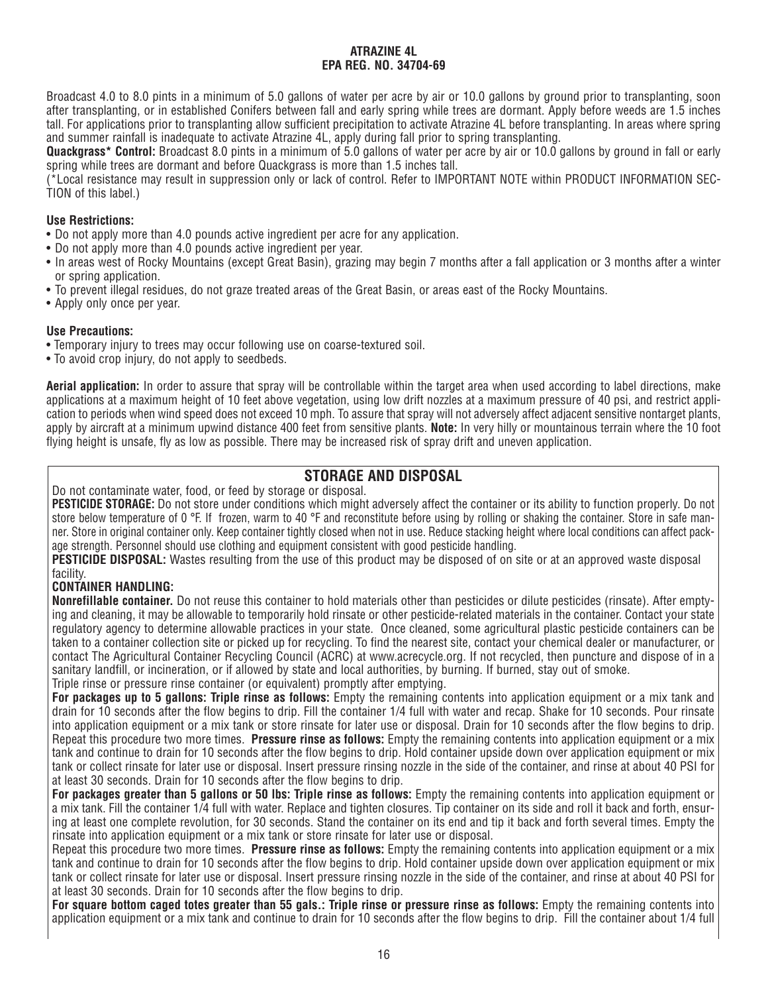Broadcast 4.0 to 8.0 pints in a minimum of 5.0 gallons of water per acre by air or 10.0 gallons by ground prior to transplanting, soon after transplanting, or in established Conifers between fall and early spring while trees are dormant. Apply before weeds are 1.5 inches tall. For applications prior to transplanting allow sufficient precipitation to activate Atrazine 4L before transplanting. In areas where spring and summer rainfall is inadequate to activate Atrazine 4L, apply during fall prior to spring transplanting.

**Quackgrass\* Control:** Broadcast 8.0 pints in a minimum of 5.0 gallons of water per acre by air or 10.0 gallons by ground in fall or early spring while trees are dormant and before Quackgrass is more than 1.5 inches tall.

(\*Local resistance may result in suppression only or lack of control. Refer to IMPORTANT NOTE within PRODUCT INFORMATION SEC- $\dot{T}$ ION of this label.)

## **Use Restrictions:**

- Do not apply more than 4.0 pounds active ingredient per acre for any application.
- Do not apply more than 4.0 pounds active ingredient per year.
- In areas west of Rocky Mountains (except Great Basin), grazing may begin 7 months after a fall application or 3 months after a winter or spring application.
- To prevent illegal residues, do not graze treated areas of the Great Basin, or areas east of the Rocky Mountains.
- Apply only once per year.

#### **Use Precautions:**

- Temporary injury to trees may occur following use on coarse-textured soil.
- To avoid crop injury, do not apply to seedbeds.

**Aerial application:** In order to assure that spray will be controllable within the target area when used according to label directions, make applications at a maximum height of 10 feet above vegetation, using low drift nozzles at a maximum pressure of 40 psi, and restrict application to periods when wind speed does not exceed 10 mph. To assure that spray will not adversely affect adjacent sensitive nontarget plants, apply by aircraft at a minimum upwind distance 400 feet from sensitive plants. **Note:** In very hilly or mountainous terrain where the 10 foot flying height is unsafe, fly as low as possible. There may be increased risk of spray drift and uneven application.

# **STORAGE AND DISPOSAL**

Do not contaminate water, food, or feed by storage or disposal.

**PESTICIDE STORAGE:** Do not store under conditions which might adversely affect the container or its ability to function properly. Do not store below temperature of 0 °F. If frozen, warm to 40 °F and reconstitute before using by rolling or shaking the container. Store in safe manner. Store in original container only. Keep container tightly closed when not in use. Reduce stacking height where local conditions can affect package strength. Personnel should use clothing and equipment consistent with good pesticide handling.

**PESTICIDE DISPOSAL:** Wastes resulting from the use of this product may be disposed of on site or at an approved waste disposal facility.

# **CONTAINER HANDLING:**

**Nonrefillable container.** Do not reuse this container to hold materials other than pesticides or dilute pesticides (rinsate). After emptying and cleaning, it may be allowable to temporarily hold rinsate or other pesticide-related materials in the container. Contact your state regulatory agency to determine allowable practices in your state. Once cleaned, some agricultural plastic pesticide containers can be taken to a container collection site or picked up for recycling. To find the nearest site, contact your chemical dealer or manufacturer, or contact The Agricultural Container Recycling Council (ACRC) at www.acrecycle.org. If not recycled, then puncture and dispose of in a sanitary landfill, or incineration, or if allowed by state and local authorities, by burning. If burned, stay out of smoke. Triple rinse or pressure rinse container (or equivalent) promptly after emptying.

**For packages up to 5 gallons: Triple rinse as follows:** Empty the remaining contents into application equipment or a mix tank and drain for 10 seconds after the flow begins to drip. Fill the container 1/4 full with water and recap. Shake for 10 seconds. Pour rinsate into application equipment or a mix tank or store rinsate for later use or disposal. Drain for 10 seconds after the flow begins to drip. Repeat this procedure two more times. **Pressure rinse as follows:** Empty the remaining contents into application equipment or a mix tank and continue to drain for 10 seconds after the flow begins to drip. Hold container upside down over application equipment or mix tank or collect rinsate for later use or disposal. Insert pressure rinsing nozzle in the side of the container, and rinse at about 40 PSI for at least 30 seconds. Drain for 10 seconds after the flow begins to drip.

**For packages greater than 5 gallons or 50 lbs: Triple rinse as follows:** Empty the remaining contents into application equipment or a mix tank. Fill the container 1/4 full with water. Replace and tighten closures. Tip container on its side and roll it back and forth, ensuring at least one complete revolution, for 30 seconds. Stand the container on its end and tip it back and forth several times. Empty the rinsate into application equipment or a mix tank or store rinsate for later use or disposal.

Repeat this procedure two more times. **Pressure rinse as follows:** Empty the remaining contents into application equipment or a mix tank and continue to drain for 10 seconds after the flow begins to drip. Hold container upside down over application equipment or mix tank or collect rinsate for later use or disposal. Insert pressure rinsing nozzle in the side of the container, and rinse at about 40 PSI for at least 30 seconds. Drain for 10 seconds after the flow begins to drip.

**For square bottom caged totes greater than 55 gals.: Triple rinse or pressure rinse as follows:** Empty the remaining contents into application equipment or a mix tank and continue to drain for 10 seconds after the flow begins to drip. Fill the container about 1/4 full